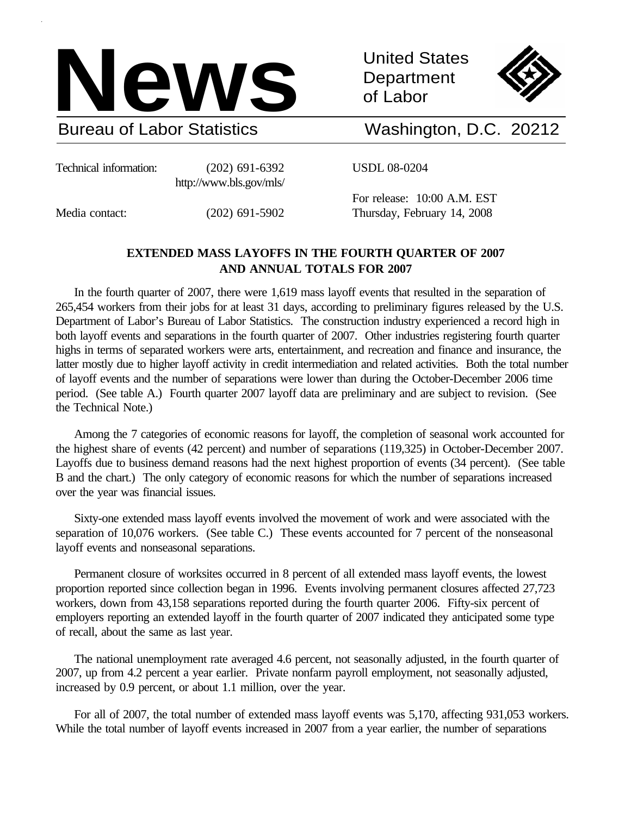

United States **Department** of Labor



# Washington, D.C. 20212

Technical information: (202) 691-6392 http://www.bls.gov/mls/ USDL 08-0204

Media contact: (202) 691-5902

For release: 10:00 A.M. EST Thursday, February 14, 2008

# **EXTENDED MASS LAYOFFS IN THE FOURTH QUARTER OF 2007 AND ANNUAL TOTALS FOR 2007**

In the fourth quarter of 2007, there were 1,619 mass layoff events that resulted in the separation of 265,454 workers from their jobs for at least 31 days, according to preliminary figures released by the U.S. Department of Labor's Bureau of Labor Statistics. The construction industry experienced a record high in both layoff events and separations in the fourth quarter of 2007. Other industries registering fourth quarter highs in terms of separated workers were arts, entertainment, and recreation and finance and insurance, the latter mostly due to higher layoff activity in credit intermediation and related activities. Both the total number of layoff events and the number of separations were lower than during the October-December 2006 time period. (See table A.) Fourth quarter 2007 layoff data are preliminary and are subject to revision. (See the Technical Note.)

Among the 7 categories of economic reasons for layoff, the completion of seasonal work accounted for the highest share of events (42 percent) and number of separations (119,325) in October-December 2007. Layoffs due to business demand reasons had the next highest proportion of events (34 percent). (See table B and the chart.) The only category of economic reasons for which the number of separations increased over the year was financial issues.

Sixty-one extended mass layoff events involved the movement of work and were associated with the separation of 10,076 workers. (See table C.) These events accounted for 7 percent of the nonseasonal layoff events and nonseasonal separations.

Permanent closure of worksites occurred in 8 percent of all extended mass layoff events, the lowest proportion reported since collection began in 1996. Events involving permanent closures affected 27,723 workers, down from 43,158 separations reported during the fourth quarter 2006. Fifty-six percent of employers reporting an extended layoff in the fourth quarter of 2007 indicated they anticipated some type of recall, about the same as last year.

The national unemployment rate averaged 4.6 percent, not seasonally adjusted, in the fourth quarter of 2007, up from 4.2 percent a year earlier. Private nonfarm payroll employment, not seasonally adjusted, increased by 0.9 percent, or about 1.1 million, over the year.

For all of 2007, the total number of extended mass layoff events was 5,170, affecting 931,053 workers. While the total number of layoff events increased in 2007 from a year earlier, the number of separations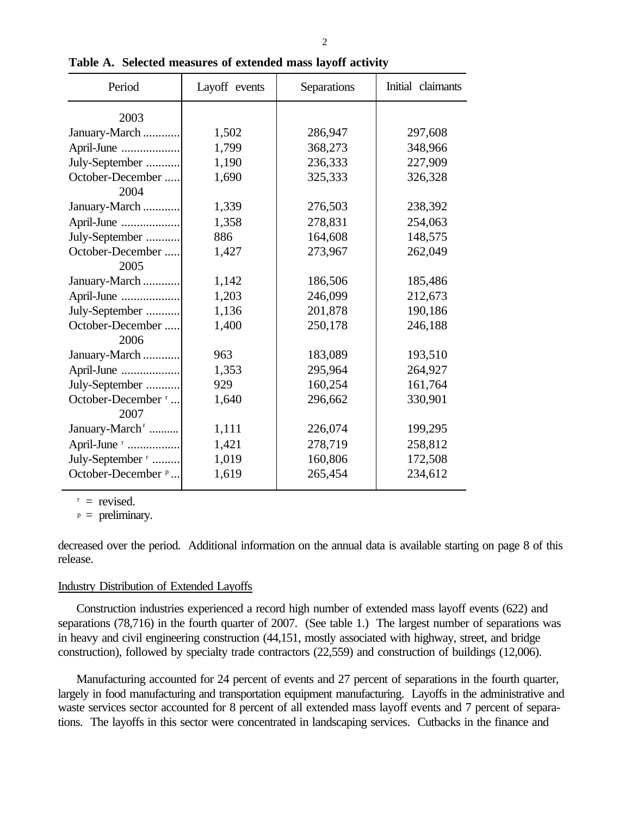| Period                        | Layoff events | Separations | Initial claimants |
|-------------------------------|---------------|-------------|-------------------|
| 2003                          |               |             |                   |
| January-March                 | 1,502         | 286,947     | 297,608           |
| April-June                    | 1,799         | 368,273     | 348,966           |
| July-September                | 1,190         | 236,333     | 227,909           |
| October-December              | 1,690         | 325,333     | 326,328           |
| 2004                          |               |             |                   |
| January-March                 | 1,339         | 276,503     | 238,392           |
| April-June                    | 1,358         | 278,831     | 254,063           |
| July-September                | 886           | 164,608     | 148,575           |
| October-December              | 1,427         | 273,967     | 262,049           |
| 2005                          |               |             |                   |
| January-March                 | 1,142         | 186,506     | 185,486           |
| April-June                    | 1,203         | 246,099     | 212,673           |
| July-September                | 1,136         | 201,878     | 190,186           |
| October-December              | 1,400         | 250,178     | 246,188           |
| 2006                          |               |             |                   |
| January-March                 | 963           | 183,089     | 193,510           |
| April-June                    | 1,353         | 295,964     | 264,927           |
| July-September                | 929           | 160,254     | 161,764           |
| October-December <sup>r</sup> | 1,640         | 296,662     | 330,901           |
| 2007                          |               |             |                   |
| January-March <sup>r</sup>    | 1,111         | 226,074     | 199,295           |
| April-June <sup>r</sup>       | 1,421         | 278,719     | 258,812           |
| July-September <sup>r</sup>   | 1,019         | 160,806     | 172,508           |
| October-December <sup>p</sup> | 1,619         | 265,454     | 234,612           |
|                               |               |             |                   |

**Table A. Selected measures of extended mass layoff activity**

 $r =$  revised.

 $p =$  preliminary.

decreased over the period. Additional information on the annual data is available starting on page 8 of this release.

### Industry Distribution of Extended Layoffs

Construction industries experienced a record high number of extended mass layoff events (622) and separations (78,716) in the fourth quarter of 2007. (See table 1.) The largest number of separations was in heavy and civil engineering construction (44,151, mostly associated with highway, street, and bridge construction), followed by specialty trade contractors (22,559) and construction of buildings (12,006).

Manufacturing accounted for 24 percent of events and 27 percent of separations in the fourth quarter, largely in food manufacturing and transportation equipment manufacturing. Layoffs in the administrative and waste services sector accounted for 8 percent of all extended mass layoff events and 7 percent of separations. The layoffs in this sector were concentrated in landscaping services. Cutbacks in the finance and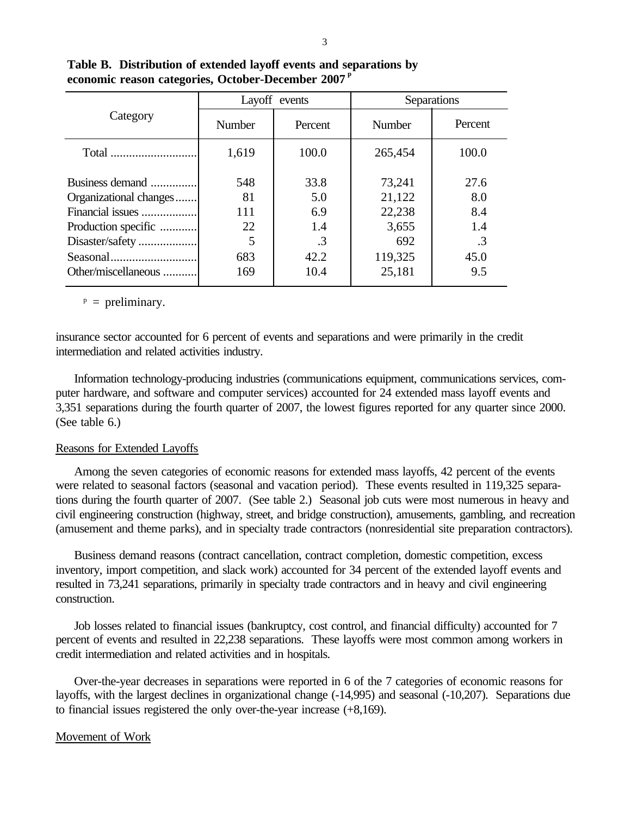|                                                                                                         |                                    | Layoff events                                  |                                                       | Separations                             |
|---------------------------------------------------------------------------------------------------------|------------------------------------|------------------------------------------------|-------------------------------------------------------|-----------------------------------------|
| Category                                                                                                | Number                             | Percent                                        | <b>Number</b>                                         | Percent                                 |
|                                                                                                         | 1,619                              | 100.0                                          | 265,454                                               | 100.0                                   |
| Business demand<br>Organizational changes<br>Financial issues<br>Production specific<br>Disaster/safety | 548<br>81<br>111<br>22<br>5<br>683 | 33.8<br>5.0<br>6.9<br>1.4<br>$\cdot$ 3<br>42.2 | 73,241<br>21,122<br>22,238<br>3,655<br>692<br>119,325 | 27.6<br>8.0<br>8.4<br>1.4<br>.3<br>45.0 |
| Other/miscellaneous                                                                                     | 169                                | 10.4                                           | 25,181                                                | 9.5                                     |

**Table B. Distribution of extended layoff events and separations by economic reason categories, October-December 2007 p**

 $P =$  preliminary.

insurance sector accounted for 6 percent of events and separations and were primarily in the credit intermediation and related activities industry.

Information technology-producing industries (communications equipment, communications services, computer hardware, and software and computer services) accounted for 24 extended mass layoff events and 3,351 separations during the fourth quarter of 2007, the lowest figures reported for any quarter since 2000. (See table 6.)

### Reasons for Extended Layoffs

Among the seven categories of economic reasons for extended mass layoffs, 42 percent of the events were related to seasonal factors (seasonal and vacation period). These events resulted in 119,325 separations during the fourth quarter of 2007. (See table 2.) Seasonal job cuts were most numerous in heavy and civil engineering construction (highway, street, and bridge construction), amusements, gambling, and recreation (amusement and theme parks), and in specialty trade contractors (nonresidential site preparation contractors).

Business demand reasons (contract cancellation, contract completion, domestic competition, excess inventory, import competition, and slack work) accounted for 34 percent of the extended layoff events and resulted in 73,241 separations, primarily in specialty trade contractors and in heavy and civil engineering construction.

Job losses related to financial issues (bankruptcy, cost control, and financial difficulty) accounted for 7 percent of events and resulted in 22,238 separations. These layoffs were most common among workers in credit intermediation and related activities and in hospitals.

Over-the-year decreases in separations were reported in 6 of the 7 categories of economic reasons for layoffs, with the largest declines in organizational change (-14,995) and seasonal (-10,207). Separations due to financial issues registered the only over-the-year increase (+8,169).

# Movement of Work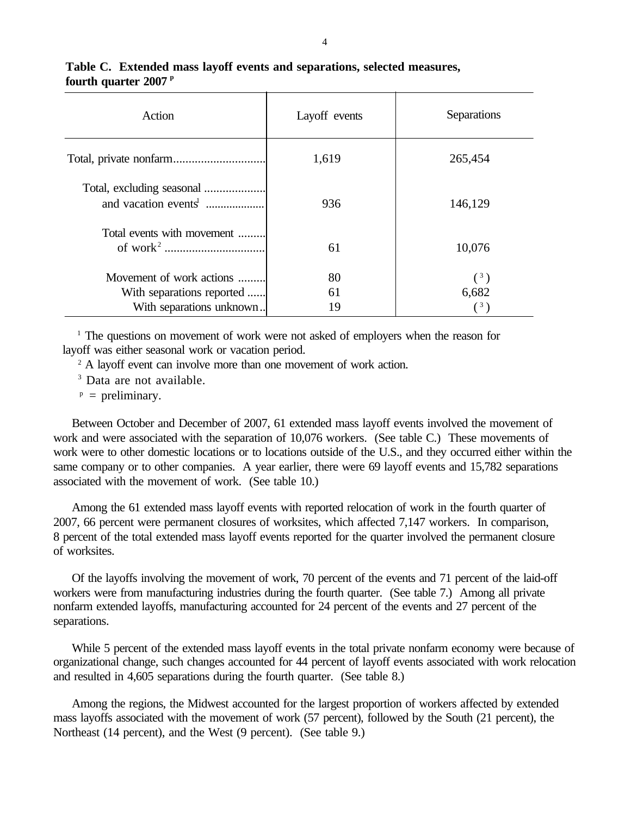| Action                                                        | Layoff events | Separations    |
|---------------------------------------------------------------|---------------|----------------|
|                                                               | 1,619         | 265,454        |
| Total, excluding seasonal<br>and vacation events <sup>1</sup> | 936           | 146,129        |
| Total events with movement                                    | 61            | 10,076         |
| Movement of work actions                                      | 80            | $\binom{3}{ }$ |
| With separations reported                                     | 61            | 6,682          |
| With separations unknown                                      | 19            | $\binom{3}{ }$ |

# **Table C. Extended mass layoff events and separations, selected measures, fourth quarter 2007 p**

<sup>1</sup> The questions on movement of work were not asked of employers when the reason for layoff was either seasonal work or vacation period.

<sup>2</sup> A layoff event can involve more than one movement of work action.

<sup>3</sup> Data are not available.

 $P =$  preliminary.

Between October and December of 2007, 61 extended mass layoff events involved the movement of work and were associated with the separation of 10,076 workers. (See table C.) These movements of work were to other domestic locations or to locations outside of the U.S., and they occurred either within the same company or to other companies. A year earlier, there were 69 layoff events and 15,782 separations associated with the movement of work. (See table 10.)

Among the 61 extended mass layoff events with reported relocation of work in the fourth quarter of 2007, 66 percent were permanent closures of worksites, which affected 7,147 workers. In comparison, 8 percent of the total extended mass layoff events reported for the quarter involved the permanent closure of worksites.

Of the layoffs involving the movement of work, 70 percent of the events and 71 percent of the laid-off workers were from manufacturing industries during the fourth quarter. (See table 7.) Among all private nonfarm extended layoffs, manufacturing accounted for 24 percent of the events and 27 percent of the separations.

While 5 percent of the extended mass layoff events in the total private nonfarm economy were because of organizational change, such changes accounted for 44 percent of layoff events associated with work relocation and resulted in 4,605 separations during the fourth quarter. (See table 8.)

Among the regions, the Midwest accounted for the largest proportion of workers affected by extended mass layoffs associated with the movement of work (57 percent), followed by the South (21 percent), the Northeast (14 percent), and the West (9 percent). (See table 9.)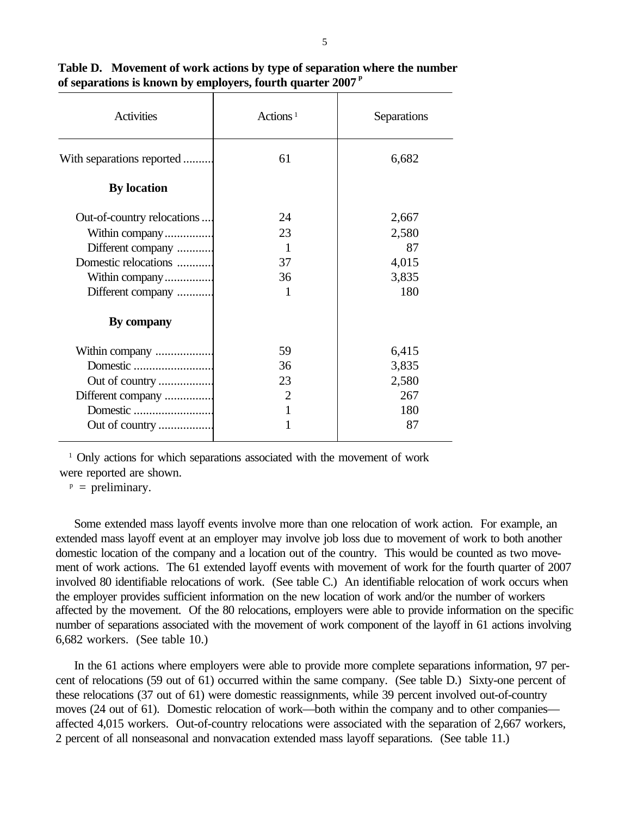| <b>Activities</b>          | Actions <sup>1</sup> | Separations |
|----------------------------|----------------------|-------------|
| With separations reported  | 61                   | 6,682       |
| <b>By location</b>         |                      |             |
| Out-of-country relocations | 24                   | 2,667       |
| Within company             | 23                   | 2,580       |
| Different company          | 1                    | 87          |
| Domestic relocations       | 37                   | 4,015       |
| Within company             | 36                   | 3,835       |
| Different company          | 1                    | 180         |
| By company                 |                      |             |
| Within company             | 59                   | 6,415       |
|                            | 36                   | 3,835       |
| Out of country             | 23                   | 2,580       |
| Different company          | 2                    | 267         |
|                            |                      | 180         |
| Out of country             |                      | 87          |

**Table D. Movement of work actions by type of separation where the number of separations is known by employers, fourth quarter 2007 p**

<sup>1</sup> Only actions for which separations associated with the movement of work were reported are shown.

 $P =$  preliminary.

Some extended mass layoff events involve more than one relocation of work action. For example, an extended mass layoff event at an employer may involve job loss due to movement of work to both another domestic location of the company and a location out of the country. This would be counted as two movement of work actions. The 61 extended layoff events with movement of work for the fourth quarter of 2007 involved 80 identifiable relocations of work. (See table C.) An identifiable relocation of work occurs when the employer provides sufficient information on the new location of work and/or the number of workers affected by the movement. Of the 80 relocations, employers were able to provide information on the specific number of separations associated with the movement of work component of the layoff in 61 actions involving 6,682 workers. (See table 10.)

In the 61 actions where employers were able to provide more complete separations information, 97 percent of relocations (59 out of 61) occurred within the same company. (See table D.) Sixty-one percent of these relocations (37 out of 61) were domestic reassignments, while 39 percent involved out-of-country moves (24 out of 61). Domestic relocation of work—both within the company and to other companies affected 4,015 workers. Out-of-country relocations were associated with the separation of 2,667 workers, 2 percent of all nonseasonal and nonvacation extended mass layoff separations. (See table 11.)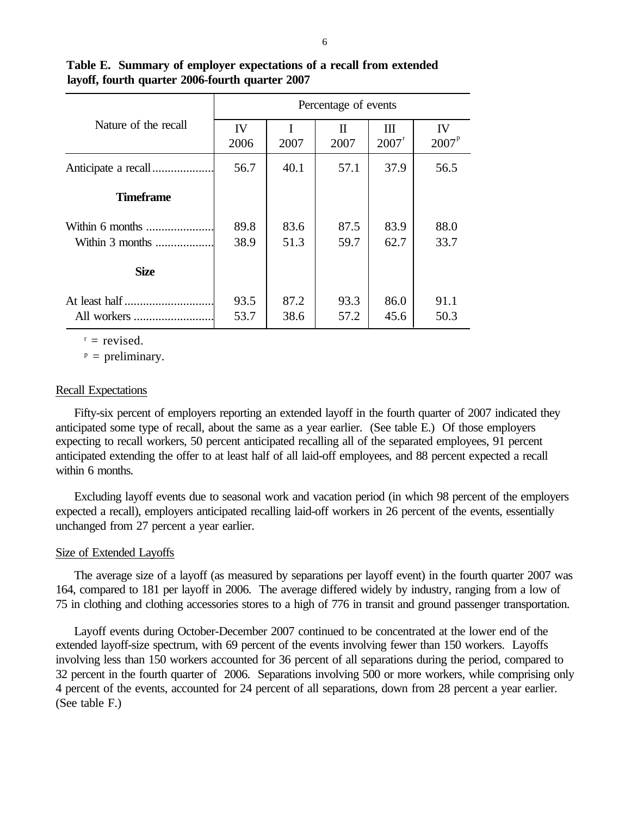|                                      |              |              | Percentage of events |                     |                         |
|--------------------------------------|--------------|--------------|----------------------|---------------------|-------------------------|
| Nature of the recall                 | IV<br>2006   | 2007         | $\Pi$<br>2007        | Ш<br>$2007^{\rm r}$ | IV<br>2007 <sup>p</sup> |
|                                      | 56.7         | 40.1         | 57.1                 | 37.9                | 56.5                    |
| <b>Timeframe</b>                     |              |              |                      |                     |                         |
| Within 6 months<br>Within $3$ months | 89.8<br>38.9 | 83.6<br>51.3 | 87.5<br>59.7         | 83.9<br>62.7        | 88.0<br>33.7            |
| <b>Size</b>                          |              |              |                      |                     |                         |
| At least half<br>All workers         | 93.5<br>53.7 | 87.2<br>38.6 | 93.3<br>57.2         | 86.0<br>45.6        | 91.1<br>50.3            |

**Table E. Summary of employer expectations of a recall from extended layoff, fourth quarter 2006-fourth quarter 2007**

 $r =$  revised.

 $p =$  preliminary.

## Recall Expectations

Fifty-six percent of employers reporting an extended layoff in the fourth quarter of 2007 indicated they anticipated some type of recall, about the same as a year earlier. (See table E.) Of those employers expecting to recall workers, 50 percent anticipated recalling all of the separated employees, 91 percent anticipated extending the offer to at least half of all laid-off employees, and 88 percent expected a recall within 6 months.

Excluding layoff events due to seasonal work and vacation period (in which 98 percent of the employers expected a recall), employers anticipated recalling laid-off workers in 26 percent of the events, essentially unchanged from 27 percent a year earlier.

### Size of Extended Layoffs

The average size of a layoff (as measured by separations per layoff event) in the fourth quarter 2007 was 164, compared to 181 per layoff in 2006. The average differed widely by industry, ranging from a low of 75 in clothing and clothing accessories stores to a high of 776 in transit and ground passenger transportation.

Layoff events during October-December 2007 continued to be concentrated at the lower end of the extended layoff-size spectrum, with 69 percent of the events involving fewer than 150 workers. Layoffs involving less than 150 workers accounted for 36 percent of all separations during the period, compared to 32 percent in the fourth quarter of 2006. Separations involving 500 or more workers, while comprising only 4 percent of the events, accounted for 24 percent of all separations, down from 28 percent a year earlier. (See table F.)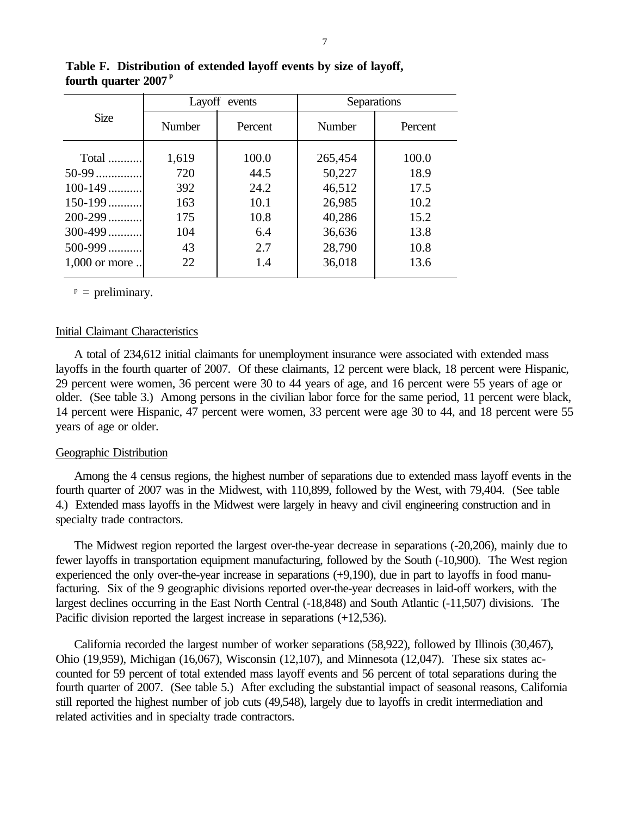|                 |               | Layoff events | Separations |         |  |  |
|-----------------|---------------|---------------|-------------|---------|--|--|
| <b>Size</b>     | <b>Number</b> | Percent       | Number      | Percent |  |  |
| Total           | 1,619         | 100.0         | 265,454     | 100.0   |  |  |
| 50-99           | 720           | 44.5          | 50,227      | 18.9    |  |  |
| $100 - 149$     | 392           | 24.2          | 46,512      | 17.5    |  |  |
| $150 - 199$     | 163           | 10.1          | 26,985      | 10.2    |  |  |
| $200 - 299$     | 175           | 10.8          | 40,286      | 15.2    |  |  |
| $300 - 499$     | 104           | 6.4           | 36,636      | 13.8    |  |  |
| $500 - 999$     | 43            | 2.7           | 28,790      | 10.8    |  |  |
| $1,000$ or more | 22            | 1.4           | 36,018      | 13.6    |  |  |

**Table F. Distribution of extended layoff events by size of layoff, fourth quarter 2007 p**

 $p =$  preliminary.

### Initial Claimant Characteristics

A total of 234,612 initial claimants for unemployment insurance were associated with extended mass layoffs in the fourth quarter of 2007. Of these claimants, 12 percent were black, 18 percent were Hispanic, 29 percent were women, 36 percent were 30 to 44 years of age, and 16 percent were 55 years of age or older. (See table 3.) Among persons in the civilian labor force for the same period, 11 percent were black, 14 percent were Hispanic, 47 percent were women, 33 percent were age 30 to 44, and 18 percent were 55 years of age or older.

### Geographic Distribution

Among the 4 census regions, the highest number of separations due to extended mass layoff events in the fourth quarter of 2007 was in the Midwest, with 110,899, followed by the West, with 79,404. (See table 4.) Extended mass layoffs in the Midwest were largely in heavy and civil engineering construction and in specialty trade contractors.

The Midwest region reported the largest over-the-year decrease in separations (-20,206), mainly due to fewer layoffs in transportation equipment manufacturing, followed by the South (-10,900). The West region experienced the only over-the-year increase in separations (+9,190), due in part to layoffs in food manufacturing. Six of the 9 geographic divisions reported over-the-year decreases in laid-off workers, with the largest declines occurring in the East North Central (-18,848) and South Atlantic (-11,507) divisions. The Pacific division reported the largest increase in separations (+12,536).

California recorded the largest number of worker separations (58,922), followed by Illinois (30,467), Ohio (19,959), Michigan (16,067), Wisconsin (12,107), and Minnesota (12,047). These six states accounted for 59 percent of total extended mass layoff events and 56 percent of total separations during the fourth quarter of 2007. (See table 5.) After excluding the substantial impact of seasonal reasons, California still reported the highest number of job cuts (49,548), largely due to layoffs in credit intermediation and related activities and in specialty trade contractors.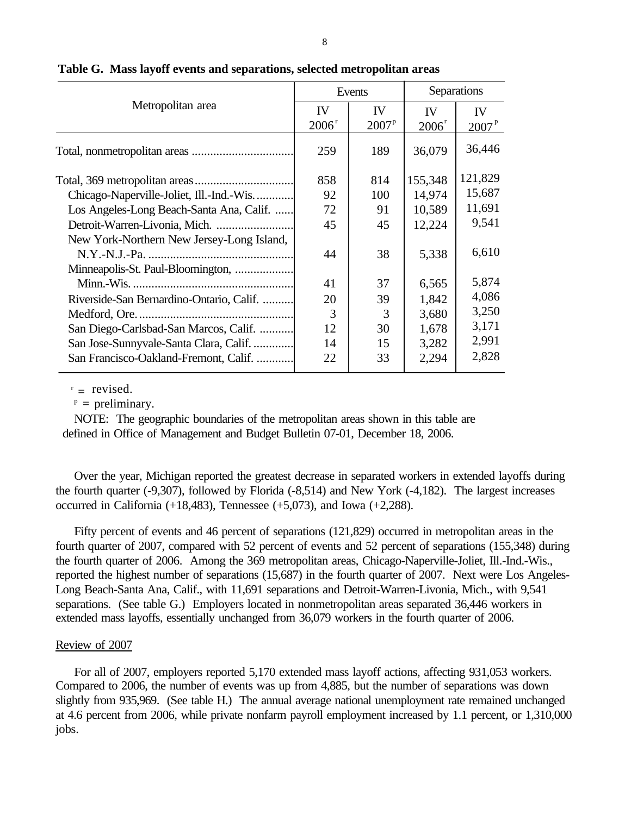|                                           |          | Events        |                   | Separations    |
|-------------------------------------------|----------|---------------|-------------------|----------------|
| Metropolitan area                         | IV       | IV            | <b>IV</b>         | <b>IV</b>      |
|                                           | $2006^r$ | $2007^p$      | 2006 <sup>r</sup> | $2007^{\rm p}$ |
|                                           | 259      | 189           | 36,079            | 36,446         |
|                                           | 858      | 814           | 155,348           | 121,829        |
| Chicago-Naperville-Joliet, Ill.-Ind.-Wis  | 92       | 100           | 14,974            | 15,687         |
| Los Angeles-Long Beach-Santa Ana, Calif.  | 72       | 91            | 10,589            | 11,691         |
| Detroit-Warren-Livonia, Mich.             | 45       | 45            | 12,224            | 9,541          |
| New York-Northern New Jersey-Long Island, |          |               |                   |                |
|                                           | 44       | 38            | 5,338             | 6,610          |
| Minneapolis-St. Paul-Bloomington,         |          |               |                   |                |
|                                           | 41       | 37            | 6,565             | 5,874          |
| Riverside-San Bernardino-Ontario, Calif.  | 20       | 39            | 1,842             | 4,086          |
|                                           | 3        | $\mathcal{R}$ | 3,680             | 3,250          |
| San Diego-Carlsbad-San Marcos, Calif.     | 12       | 30            | 1,678             | 3,171          |
| San Jose-Sunnyvale-Santa Clara, Calif.    | 14       | 15            | 3,282             | 2,991          |
| San Francisco-Oakland-Fremont, Calif.     | 22       | 33            | 2,294             | 2,828          |
|                                           |          |               |                   |                |

# **Table G. Mass layoff events and separations, selected metropolitan areas**

 $r =$  revised.

 $p =$  preliminary.

 NOTE: The geographic boundaries of the metropolitan areas shown in this table are defined in Office of Management and Budget Bulletin 07-01, December 18, 2006.

Over the year, Michigan reported the greatest decrease in separated workers in extended layoffs during the fourth quarter (-9,307), followed by Florida (-8,514) and New York (-4,182). The largest increases occurred in California  $(+18,483)$ , Tennessee  $(+5,073)$ , and Iowa  $(+2,288)$ .

Fifty percent of events and 46 percent of separations (121,829) occurred in metropolitan areas in the fourth quarter of 2007, compared with 52 percent of events and 52 percent of separations (155,348) during the fourth quarter of 2006. Among the 369 metropolitan areas, Chicago-Naperville-Joliet, Ill.-Ind.-Wis., reported the highest number of separations (15,687) in the fourth quarter of 2007. Next were Los Angeles-Long Beach-Santa Ana, Calif., with 11,691 separations and Detroit-Warren-Livonia, Mich., with 9,541 separations. (See table G.) Employers located in nonmetropolitan areas separated 36,446 workers in extended mass layoffs, essentially unchanged from 36,079 workers in the fourth quarter of 2006.

# Review of 2007

For all of 2007, employers reported 5,170 extended mass layoff actions, affecting 931,053 workers. Compared to 2006, the number of events was up from 4,885, but the number of separations was down slightly from 935,969. (See table H.) The annual average national unemployment rate remained unchanged at 4.6 percent from 2006, while private nonfarm payroll employment increased by 1.1 percent, or 1,310,000 jobs.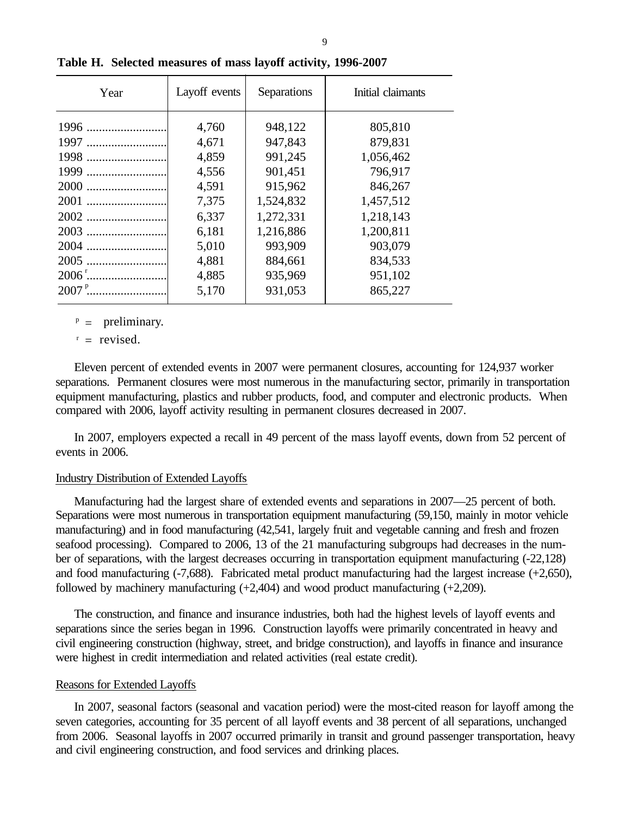| Year | Layoff events | Separations | Initial claimants |
|------|---------------|-------------|-------------------|
| 1996 | 4,760         | 948,122     | 805,810           |
| 1997 | 4,671         | 947,843     | 879,831           |
| 1998 | 4,859         | 991,245     | 1,056,462         |
| 1999 | 4,556         | 901,451     | 796,917           |
|      | 4,591         | 915,962     | 846,267           |
|      | 7,375         | 1,524,832   | 1,457,512         |
|      | 6,337         | 1,272,331   | 1,218,143         |
| 2003 | 6,181         | 1,216,886   | 1,200,811         |
| 2004 | 5,010         | 993,909     | 903,079           |
| 2005 | 4,881         | 884,661     | 834,533           |
|      | 4,885         | 935,969     | 951,102           |
|      | 5,170         | 931,053     | 865,227           |

**Table H. Selected measures of mass layoff activity, 1996-2007**

 $P =$  preliminary.

 $r =$  revised.

Eleven percent of extended events in 2007 were permanent closures, accounting for 124,937 worker separations. Permanent closures were most numerous in the manufacturing sector, primarily in transportation equipment manufacturing, plastics and rubber products, food, and computer and electronic products. When compared with 2006, layoff activity resulting in permanent closures decreased in 2007.

In 2007, employers expected a recall in 49 percent of the mass layoff events, down from 52 percent of events in 2006.

### Industry Distribution of Extended Layoffs

Manufacturing had the largest share of extended events and separations in 2007—25 percent of both. Separations were most numerous in transportation equipment manufacturing (59,150, mainly in motor vehicle manufacturing) and in food manufacturing (42,541, largely fruit and vegetable canning and fresh and frozen seafood processing). Compared to 2006, 13 of the 21 manufacturing subgroups had decreases in the number of separations, with the largest decreases occurring in transportation equipment manufacturing (-22,128) and food manufacturing (-7,688). Fabricated metal product manufacturing had the largest increase (+2,650), followed by machinery manufacturing (+2,404) and wood product manufacturing (+2,209).

The construction, and finance and insurance industries, both had the highest levels of layoff events and separations since the series began in 1996. Construction layoffs were primarily concentrated in heavy and civil engineering construction (highway, street, and bridge construction), and layoffs in finance and insurance were highest in credit intermediation and related activities (real estate credit).

### Reasons for Extended Layoffs

In 2007, seasonal factors (seasonal and vacation period) were the most-cited reason for layoff among the seven categories, accounting for 35 percent of all layoff events and 38 percent of all separations, unchanged from 2006. Seasonal layoffs in 2007 occurred primarily in transit and ground passenger transportation, heavy and civil engineering construction, and food services and drinking places.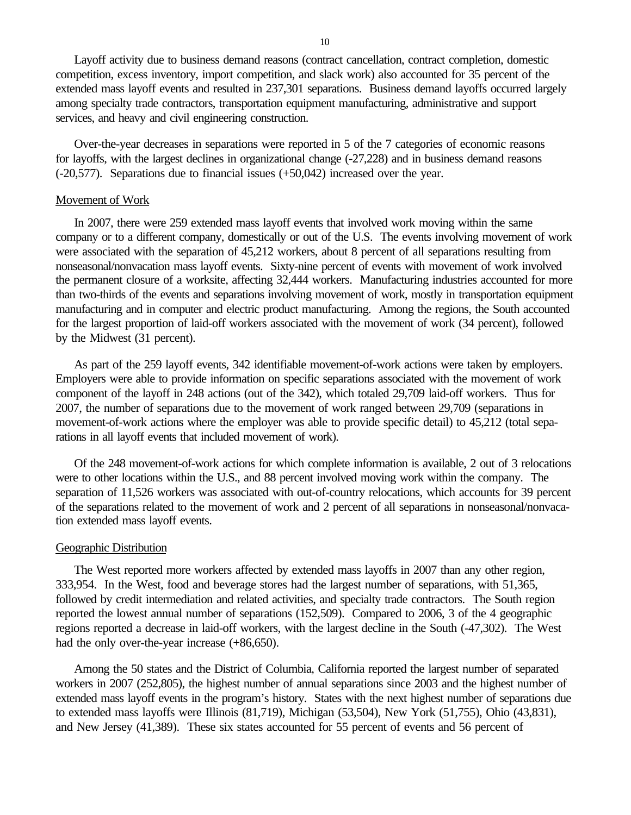Layoff activity due to business demand reasons (contract cancellation, contract completion, domestic competition, excess inventory, import competition, and slack work) also accounted for 35 percent of the extended mass layoff events and resulted in 237,301 separations. Business demand layoffs occurred largely among specialty trade contractors, transportation equipment manufacturing, administrative and support services, and heavy and civil engineering construction.

Over-the-year decreases in separations were reported in 5 of the 7 categories of economic reasons for layoffs, with the largest declines in organizational change (-27,228) and in business demand reasons (-20,577). Separations due to financial issues (+50,042) increased over the year.

#### Movement of Work

In 2007, there were 259 extended mass layoff events that involved work moving within the same company or to a different company, domestically or out of the U.S. The events involving movement of work were associated with the separation of 45,212 workers, about 8 percent of all separations resulting from nonseasonal/nonvacation mass layoff events. Sixty-nine percent of events with movement of work involved the permanent closure of a worksite, affecting 32,444 workers. Manufacturing industries accounted for more than two-thirds of the events and separations involving movement of work, mostly in transportation equipment manufacturing and in computer and electric product manufacturing. Among the regions, the South accounted for the largest proportion of laid-off workers associated with the movement of work (34 percent), followed by the Midwest (31 percent).

As part of the 259 layoff events, 342 identifiable movement-of-work actions were taken by employers. Employers were able to provide information on specific separations associated with the movement of work component of the layoff in 248 actions (out of the 342), which totaled 29,709 laid-off workers. Thus for 2007, the number of separations due to the movement of work ranged between 29,709 (separations in movement-of-work actions where the employer was able to provide specific detail) to 45,212 (total separations in all layoff events that included movement of work).

Of the 248 movement-of-work actions for which complete information is available, 2 out of 3 relocations were to other locations within the U.S., and 88 percent involved moving work within the company. The separation of 11,526 workers was associated with out-of-country relocations, which accounts for 39 percent of the separations related to the movement of work and 2 percent of all separations in nonseasonal/nonvacation extended mass layoff events.

#### Geographic Distribution

The West reported more workers affected by extended mass layoffs in 2007 than any other region, 333,954. In the West, food and beverage stores had the largest number of separations, with 51,365, followed by credit intermediation and related activities, and specialty trade contractors. The South region reported the lowest annual number of separations (152,509). Compared to 2006, 3 of the 4 geographic regions reported a decrease in laid-off workers, with the largest decline in the South (-47,302). The West had the only over-the-year increase (+86,650).

Among the 50 states and the District of Columbia, California reported the largest number of separated workers in 2007 (252,805), the highest number of annual separations since 2003 and the highest number of extended mass layoff events in the program's history. States with the next highest number of separations due to extended mass layoffs were Illinois (81,719), Michigan (53,504), New York (51,755), Ohio (43,831), and New Jersey (41,389). These six states accounted for 55 percent of events and 56 percent of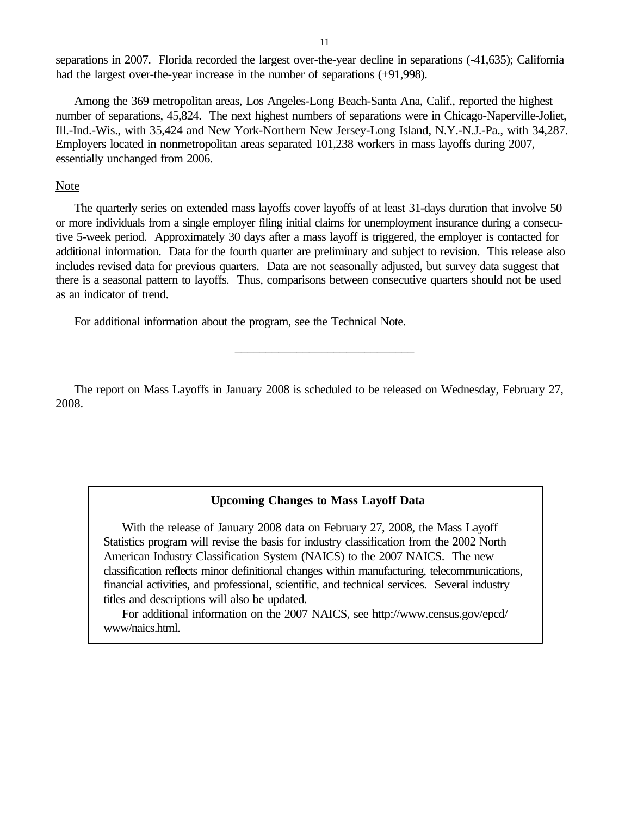separations in 2007. Florida recorded the largest over-the-year decline in separations (-41,635); California had the largest over-the-year increase in the number of separations  $(+91,998)$ .

Among the 369 metropolitan areas, Los Angeles-Long Beach-Santa Ana, Calif., reported the highest number of separations, 45,824. The next highest numbers of separations were in Chicago-Naperville-Joliet, Ill.-Ind.-Wis., with 35,424 and New York-Northern New Jersey-Long Island, N.Y.-N.J.-Pa., with 34,287. Employers located in nonmetropolitan areas separated 101,238 workers in mass layoffs during 2007, essentially unchanged from 2006.

# Note

The quarterly series on extended mass layoffs cover layoffs of at least 31-days duration that involve 50 or more individuals from a single employer filing initial claims for unemployment insurance during a consecutive 5-week period. Approximately 30 days after a mass layoff is triggered, the employer is contacted for additional information. Data for the fourth quarter are preliminary and subject to revision. This release also includes revised data for previous quarters. Data are not seasonally adjusted, but survey data suggest that there is a seasonal pattern to layoffs. Thus, comparisons between consecutive quarters should not be used as an indicator of trend.

For additional information about the program, see the Technical Note.

The report on Mass Layoffs in January 2008 is scheduled to be released on Wednesday, February 27, 2008.

\_\_\_\_\_\_\_\_\_\_\_\_\_\_\_\_\_\_\_\_\_\_\_\_\_\_\_\_\_

# **Upcoming Changes to Mass Layoff Data**

With the release of January 2008 data on February 27, 2008, the Mass Layoff Statistics program will revise the basis for industry classification from the 2002 North American Industry Classification System (NAICS) to the 2007 NAICS. The new classification reflects minor definitional changes within manufacturing, telecommunications, financial activities, and professional, scientific, and technical services. Several industry titles and descriptions will also be updated.

For additional information on the 2007 NAICS, see http://www.census.gov/epcd/ www/naics.html.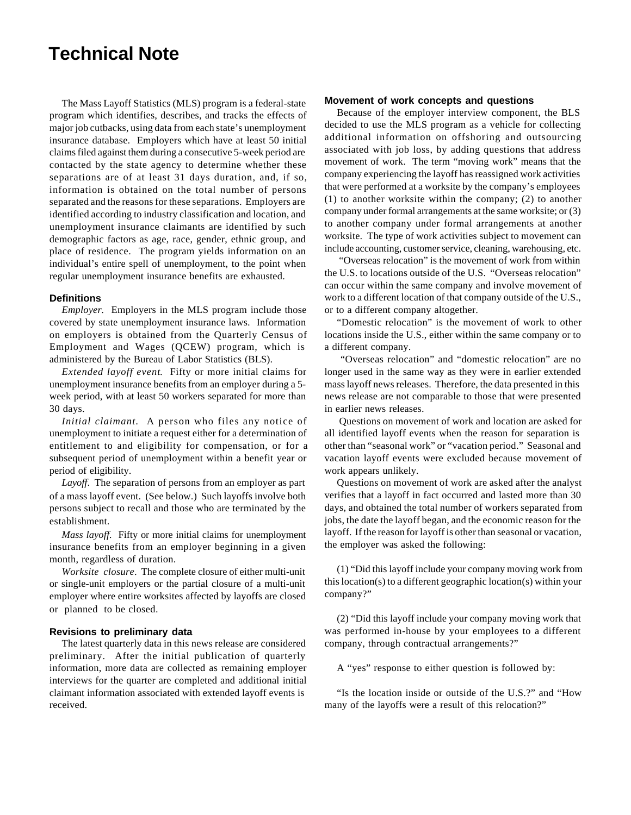# **Technical Note**

The Mass Layoff Statistics (MLS) program is a federal-state program which identifies, describes, and tracks the effects of major job cutbacks, using data from each state's unemployment insurance database. Employers which have at least 50 initial claims filed against them during a consecutive 5-week period are contacted by the state agency to determine whether these separations are of at least 31 days duration, and, if so, information is obtained on the total number of persons separated and the reasons for these separations. Employers are identified according to industry classification and location, and unemployment insurance claimants are identified by such demographic factors as age, race, gender, ethnic group, and place of residence. The program yields information on an individual's entire spell of unemployment, to the point when regular unemployment insurance benefits are exhausted.

#### **Definitions**

*Employer.* Employers in the MLS program include those covered by state unemployment insurance laws. Information on employers is obtained from the Quarterly Census of Employment and Wages (QCEW) program, which is administered by the Bureau of Labor Statistics (BLS).

*Extended layoff event*. Fifty or more initial claims for unemployment insurance benefits from an employer during a 5 week period, with at least 50 workers separated for more than 30 days.

*Initial claimant.* A person who files any notice of unemployment to initiate a request either for a determination of entitlement to and eligibility for compensation, or for a subsequent period of unemployment within a benefit year or period of eligibility.

*Layoff*. The separation of persons from an employer as part of a mass layoff event. (See below.) Such layoffs involve both persons subject to recall and those who are terminated by the establishment.

*Mass layoff.* Fifty or more initial claims for unemployment insurance benefits from an employer beginning in a given month, regardless of duration.

*Worksite closure*. The complete closure of either multi-unit or single-unit employers or the partial closure of a multi-unit employer where entire worksites affected by layoffs are closed or planned to be closed.

#### **Revisions to preliminary data**

The latest quarterly data in this news release are considered preliminary. After the initial publication of quarterly information, more data are collected as remaining employer interviews for the quarter are completed and additional initial claimant information associated with extended layoff events is received.

#### **Movement of work concepts and questions**

Because of the employer interview component, the BLS decided to use the MLS program as a vehicle for collecting additional information on offshoring and outsourcing associated with job loss, by adding questions that address movement of work. The term "moving work" means that the company experiencing the layoff has reassigned work activities that were performed at a worksite by the company's employees (1) to another worksite within the company; (2) to another company under formal arrangements at the same worksite; or (3) to another company under formal arrangements at another worksite. The type of work activities subject to movement can include accounting, customer service, cleaning, warehousing, etc.

 "Overseas relocation" is the movement of work from within the U.S. to locations outside of the U.S. "Overseas relocation" can occur within the same company and involve movement of work to a different location of that company outside of the U.S., or to a different company altogether.

"Domestic relocation" is the movement of work to other locations inside the U.S., either within the same company or to a different company.

 "Overseas relocation" and "domestic relocation" are no longer used in the same way as they were in earlier extended mass layoff news releases. Therefore, the data presented in this news release are not comparable to those that were presented in earlier news releases.

 Questions on movement of work and location are asked for all identified layoff events when the reason for separation is other than "seasonal work" or "vacation period." Seasonal and vacation layoff events were excluded because movement of work appears unlikely.

Questions on movement of work are asked after the analyst verifies that a layoff in fact occurred and lasted more than 30 days, and obtained the total number of workers separated from jobs, the date the layoff began, and the economic reason for the layoff. If the reason for layoff is other than seasonal or vacation, the employer was asked the following:

(1) "Did this layoff include your company moving work from this location(s) to a different geographic location(s) within your company?"

(2) "Did this layoff include your company moving work that was performed in-house by your employees to a different company, through contractual arrangements?"

A "yes" response to either question is followed by:

"Is the location inside or outside of the U.S.?" and "How many of the layoffs were a result of this relocation?"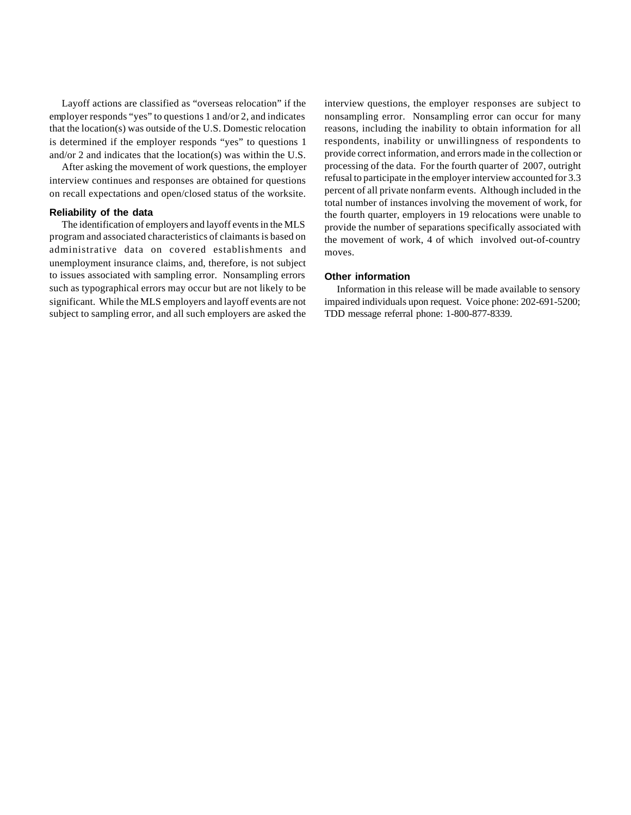Layoff actions are classified as "overseas relocation" if the employer responds "yes" to questions 1 and/or 2, and indicates that the location(s) was outside of the U.S. Domestic relocation is determined if the employer responds "yes" to questions 1 and/or 2 and indicates that the location(s) was within the U.S.

After asking the movement of work questions, the employer interview continues and responses are obtained for questions on recall expectations and open/closed status of the worksite.

#### **Reliability of the data**

The identification of employers and layoff events in the MLS program and associated characteristics of claimants is based on administrative data on covered establishments and unemployment insurance claims, and, therefore, is not subject to issues associated with sampling error. Nonsampling errors such as typographical errors may occur but are not likely to be significant. While the MLS employers and layoff events are not subject to sampling error, and all such employers are asked the interview questions, the employer responses are subject to nonsampling error. Nonsampling error can occur for many reasons, including the inability to obtain information for all respondents, inability or unwillingness of respondents to provide correct information, and errors made in the collection or processing of the data. For the fourth quarter of 2007, outright refusal to participate in the employer interview accounted for 3.3 percent of all private nonfarm events. Although included in the total number of instances involving the movement of work, for the fourth quarter, employers in 19 relocations were unable to provide the number of separations specifically associated with the movement of work, 4 of which involved out-of-country moves.

#### **Other information**

Information in this release will be made available to sensory impaired individuals upon request. Voice phone: 202-691-5200; TDD message referral phone: 1-800-877-8339.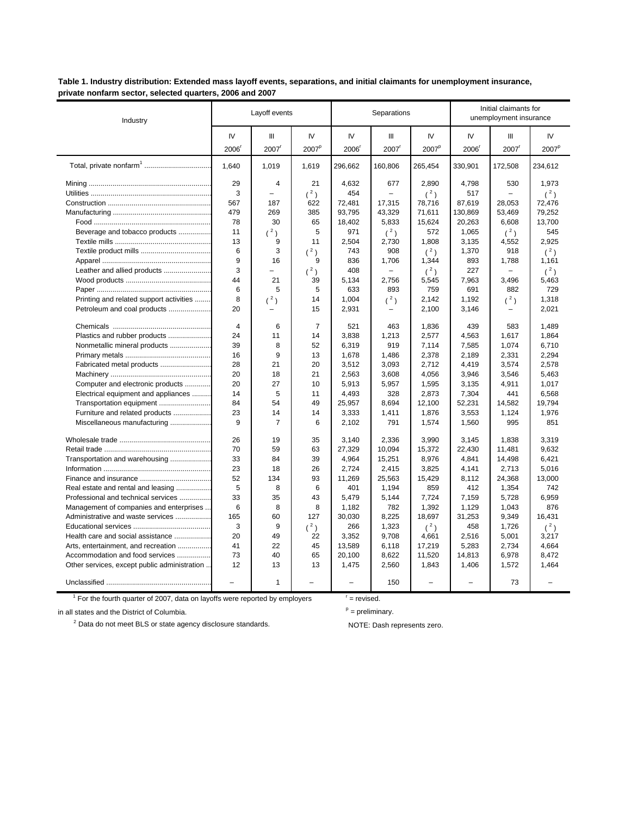Table 1. Industry distribution: Extended mass layoff events, separations, and initial claimants for unemployment insurance, private nonfarm sector, selected quarters, 2006 and 2007

| Industry                                     |                | Layoff events  |                   |         | Separations       |                   |                   | Initial claimants for<br>unemployment insurance |                   |  |
|----------------------------------------------|----------------|----------------|-------------------|---------|-------------------|-------------------|-------------------|-------------------------------------------------|-------------------|--|
|                                              | IV             | Ш              | IV.               | IV      | Ш                 | IV                | IV                | Ш                                               | IV                |  |
|                                              | 2006           | 2007           | 2007 <sup>p</sup> | 2006    | 2007 <sup>r</sup> | 2007 <sup>p</sup> | 2006 <sup>r</sup> | $2007$ <sup>r</sup>                             | 2007 <sup>p</sup> |  |
|                                              | 1.640          | 1,019          | 1,619             | 296,662 | 160,806           | 265,454           | 330,901           | 172,508                                         | 234,612           |  |
|                                              | 29             | $\overline{4}$ | 21                | 4,632   | 677               | 2,890             | 4,798             | 530                                             | 1,973             |  |
|                                              | 3              | $\equiv$       | $(^2)$            | 454     | $\overline{a}$    | (2)               | 517               | L.                                              | (2)               |  |
|                                              | 567            | 187            | 622               | 72,481  | 17,315            | 78,716            | 87,619            | 28,053                                          | 72,476            |  |
|                                              | 479            | 269            | 385               | 93,795  | 43,329            | 71,611            | 130,869           | 53,469                                          | 79,252            |  |
|                                              | 78             | 30             | 65                | 18,402  | 5,833             | 15,624            | 20,263            | 6,608                                           | 13,700            |  |
| Beverage and tobacco products                | 11             | $(^{2})$       | 5                 | 971     | $(^2)$            | 572               | 1,065             | $(^2)$                                          | 545               |  |
|                                              | 13             | 9              | 11                | 2,504   | 2,730             | 1,808             | 3,135             | 4,552                                           | 2,925             |  |
|                                              | 6              | 3              | $(^2)$            | 743     | 908               | $(^2)$            | 1,370             | 918                                             | $(^2)$            |  |
|                                              | 9              | 16             | 9                 | 836     | 1,706             | 1,344             | 893               | 1,788                                           | 1,161             |  |
| Leather and allied products                  | 3              |                | (2)               | 408     |                   | (2)               | 227               |                                                 | $(^2)$            |  |
|                                              | 44             | 21             | 39                | 5,134   | 2,756             | 5,545             | 7,963             | 3,496                                           | 5,463             |  |
|                                              | 6              | 5              | 5                 | 633     | 893               | 759               | 691               | 882                                             | 729               |  |
| Printing and related support activities      | 8              | $(^{2})$       | 14                | 1,004   | $(^2)$            | 2,142             | 1,192             | $(^{2})$                                        | 1,318             |  |
| Petroleum and coal products                  | 20             |                | 15                | 2,931   |                   | 2,100             | 3,146             |                                                 | 2,021             |  |
|                                              | $\overline{4}$ | 6              | $\overline{7}$    | 521     | 463               | 1,836             | 439               | 583                                             | 1,489             |  |
| Plastics and rubber products                 | 24             | 11             | 14                | 3,838   | 1,213             | 2,577             | 4,563             | 1,617                                           | 1,864             |  |
| Nonmetallic mineral products                 | 39             | 8              | 52                | 6,319   | 919               | 7,114             | 7,585             | 1.074                                           | 6,710             |  |
|                                              | 16             | 9              | 13                | 1,678   | 1,486             | 2,378             | 2,189             | 2,331                                           | 2,294             |  |
| Fabricated metal products                    | 28             | 21             | 20                | 3,512   | 3,093             | 2,712             | 4,419             | 3,574                                           | 2,578             |  |
|                                              | 20             | 18             | 21                | 2,563   | 3,608             | 4,056             | 3,946             | 3,546                                           | 5,463             |  |
| Computer and electronic products             | 20             | 27             | 10                | 5,913   | 5,957             | 1,595             | 3,135             | 4,911                                           | 1,017             |  |
| Electrical equipment and appliances          | 14             | 5              | 11                | 4,493   | 328               | 2,873             | 7,304             | 441                                             | 6,568             |  |
| Transportation equipment                     | 84             | 54             | 49                | 25,957  | 8,694             | 12,100            | 52,231            | 14,582                                          | 19,794            |  |
| Furniture and related products               | 23             | 14             | 14                | 3,333   | 1,411             | 1,876             | 3,553             | 1,124                                           | 1,976             |  |
| Miscellaneous manufacturing                  | 9              | 7              | 6                 | 2,102   | 791               | 1,574             | 1,560             | 995                                             | 851               |  |
|                                              |                |                |                   |         |                   |                   |                   |                                                 |                   |  |
|                                              | 26             | 19             | 35                | 3.140   | 2.336             | 3,990             | 3.145             | 1.838                                           | 3.319             |  |
|                                              | 70             | 59             | 63                | 27,329  | 10,094            | 15,372            | 22,430            | 11,481                                          | 9,632             |  |
| Transportation and warehousing               | 33             | 84             | 39                | 4,964   | 15,251            | 8,976             | 4,841             | 14,498                                          | 6,421             |  |
|                                              | 23             | 18             | 26                | 2,724   | 2,415             | 3,825             | 4,141             | 2,713                                           | 5,016             |  |
|                                              | 52             | 134            | 93                | 11,269  | 25,563            | 15,429            | 8,112             | 24,368                                          | 13,000            |  |
| Real estate and rental and leasing           | 5              | 8              | 6                 | 401     | 1,194             | 859               | 412               | 1,354                                           | 742               |  |
| Professional and technical services          | 33             | 35             | 43                | 5,479   | 5,144             | 7,724             | 7,159             | 5,728                                           | 6,959             |  |
| Management of companies and enterprises      | 6              | 8              | 8                 | 1,182   | 782               | 1,392             | 1,129             | 1,043                                           | 876               |  |
| Administrative and waste services            | 165            | 60             | 127               | 30,030  | 8,225             | 18,697            | 31,253            | 9,349                                           | 16,431            |  |
|                                              | 3              | 9              | $(^2)$            | 266     | 1,323             | $(^2)$            | 458               | 1,726                                           | $(^2)$            |  |
| Health care and social assistance            | 20             | 49             | 22                | 3,352   | 9,708             | 4,661             | 2,516             | 5,001                                           | 3,217             |  |
| Arts, entertainment, and recreation          | 41             | 22             | 45                | 13,589  | 6,118             | 17,219            | 5,283             | 2,734                                           | 4,664             |  |
| Accommodation and food services              | 73             | 40             | 65                | 20,100  | 8,622             | 11,520            | 14,813            | 6,978                                           | 8,472             |  |
| Other services, except public administration | 12             | 13             | 13                | 1,475   | 2,560             | 1,843             | 1,406             | 1,572                                           | 1,464             |  |
|                                              |                | 1              |                   |         | 150               |                   |                   | 73                                              |                   |  |

 $1$  For the fourth quarter of 2007, data on layoffs were reported by employers

in all states and the District of Columbia.

 $2$  Data do not meet BLS or state agency disclosure standards.

 $r =$  revised.

 $P =$  preliminary.

NOTE: Dash represents zero.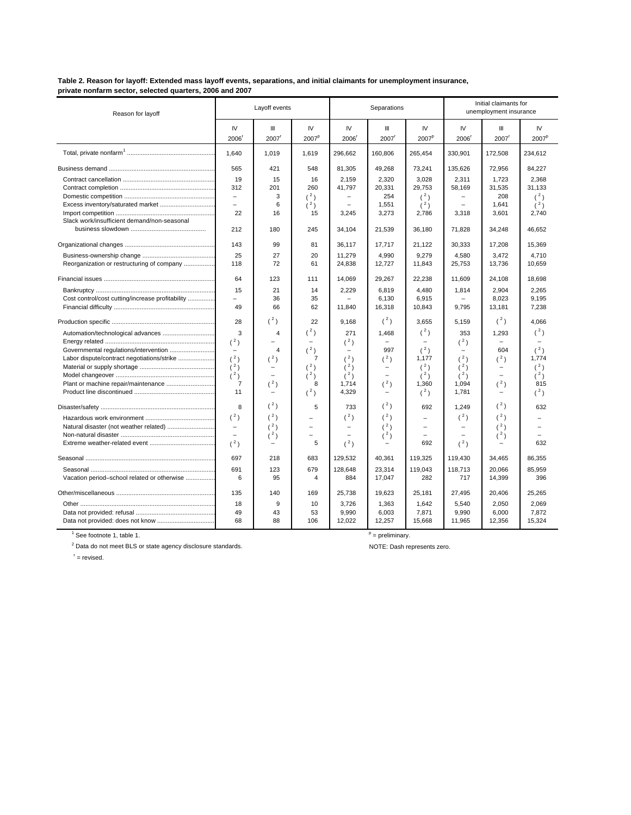Table 2. Reason for layoff: Extended mass layoff events, separations, and initial claimants for unemployment insurance, private nonfarm sector, selected quarters, 2006 and 2007

| Reason for layoff                                |                          | Layoff events            |                          |                          | Separations       |                         | Initial claimants for<br>unemployment insurance |                          |                          |
|--------------------------------------------------|--------------------------|--------------------------|--------------------------|--------------------------|-------------------|-------------------------|-------------------------------------------------|--------------------------|--------------------------|
|                                                  | IV<br>2006               | Ш<br>$2007$ <sup>r</sup> | IV<br>2007 <sup>p</sup>  | IV<br>2006               | Ш<br>2007         | IV<br>2007 <sup>p</sup> | IV<br>2006                                      | Ш<br>$2007$ <sup>r</sup> | IV.<br>2007 <sup>p</sup> |
|                                                  | 1,640                    | 1,019                    | 1,619                    | 296,662                  | 160,806           | 265,454                 | 330,901                                         | 172,508                  | 234,612                  |
|                                                  | 565                      | 421                      | 548                      | 81,305                   | 49,268            | 73,241                  | 135,626                                         | 72,956                   | 84,227                   |
|                                                  | 19                       | 15                       | 16                       | 2,159                    | 2,320             | 3,028                   | 2,311                                           | 1,723                    | 2,368                    |
|                                                  | 312                      | 201                      | 260                      | 41,797                   | 20,331            | 29.753                  | 58,169                                          | 31,535                   | 31.133                   |
|                                                  | $\overline{\phantom{0}}$ | 3                        | (2)                      |                          | 254               | (2)                     |                                                 | 208                      | (2)                      |
|                                                  | $\equiv$                 | 6                        | (2)                      | L.                       | 1,551             | (2)                     |                                                 | 1,641                    | (2)                      |
|                                                  | 22                       | 16                       | 15                       | 3,245                    | 3,273             | 2,786                   | 3,318                                           | 3,601                    | 2,740                    |
| Slack work/insufficient demand/non-seasonal      |                          |                          |                          |                          |                   |                         |                                                 |                          |                          |
|                                                  | 212                      | 180                      | 245                      | 34,104                   | 21,539            | 36,180                  | 71,828                                          | 34,248                   | 46,652                   |
|                                                  | 143                      | 99                       | 81                       | 36.117                   | 17,717            | 21,122                  | 30,333                                          | 17,208                   | 15,369                   |
|                                                  | 25                       | 27                       | 20                       | 11,279                   | 4,990             | 9,279                   | 4,580                                           | 3,472                    | 4,710                    |
| Reorganization or restructuring of company       | 118                      | 72                       | 61                       | 24,838                   | 12,727            | 11,843                  | 25,753                                          | 13,736                   | 10,659                   |
|                                                  | 64                       | 123                      | 111                      | 14,069                   | 29,267            | 22,238                  | 11,609                                          | 24,108                   | 18,698                   |
|                                                  | 15                       | 21                       | 14                       | 2,229                    | 6,819             | 4,480                   | 1,814                                           | 2.904                    | 2.265                    |
| Cost control/cost cutting/increase profitability | ÷                        | 36                       | 35                       |                          | 6.130             | 6,915                   |                                                 | 8,023                    | 9.195                    |
|                                                  | 49                       | 66                       | 62                       | 11.840                   | 16,318            | 10,843                  | 9.795                                           | 13,181                   | 7,238                    |
|                                                  | 28                       | (3)                      | 22                       | 9,168                    | (2)               | 3.655                   | 5,159                                           | (2)                      | 4.066                    |
| Automation/technological advances                | 3                        | 4                        | $(^2)$                   | 271                      | 1,468             | (2)                     | 353                                             | 1,293                    | $(^2)$                   |
|                                                  | (2)                      | $\overline{\phantom{0}}$ | $\overline{\phantom{0}}$ | (2)                      | $\equiv$          | ÷,                      | (2)                                             | Ξ.                       |                          |
|                                                  | $\qquad \qquad -$        | 4                        | $(^2)$                   | $\equiv$                 | 997               | (2)                     |                                                 | 604                      | (2)                      |
| Labor dispute/contract negotiations/strike       | (2)                      | $({}^{2})$               | $\overline{7}$           | (2)                      | (2)               | 1,177                   | (2)                                             | $({}^{2})$               | 1.774                    |
|                                                  | (3)                      | $\qquad \qquad =$        | $(^2)$                   | (3)                      | $\qquad \qquad -$ | (2)                     | (3)                                             | -                        | (2)                      |
|                                                  | (2)                      | i.                       | (2)                      | (2)                      | $\qquad \qquad =$ | (2)                     | (2)                                             | $\qquad \qquad =$        | (2)                      |
|                                                  | $\overline{7}$           | (2)                      | 8                        | 1,714                    | (2)               | 1,360                   | 1,094                                           | (2)                      | 815                      |
|                                                  | 11                       |                          | $(^2)$                   | 4,329                    |                   | (2)                     | 1,781                                           |                          | $(^2)$                   |
|                                                  | 8                        | (2)                      | 5                        | 733                      | (2)               | 692                     | 1,249                                           | (2)                      | 632                      |
|                                                  | $(^2)$                   | (2)                      |                          | (2)                      | (2)               | ÷                       | $(^2)$                                          | $(^2)$                   |                          |
|                                                  | $\overline{\phantom{a}}$ | (2)                      | $\equiv$                 | $\overline{\phantom{m}}$ | (2)               | $\equiv$                | $\overline{\phantom{a}}$                        | (2)                      |                          |
|                                                  |                          | (2)                      |                          |                          | (2)               |                         |                                                 | (2)                      |                          |
|                                                  | (3)                      |                          | 5                        | (2)                      |                   | 692                     | (2)                                             |                          | 632                      |
|                                                  | 697                      | 218                      | 683                      | 129.532                  | 40.361            | 119,325                 | 119,430                                         | 34,465                   | 86,355                   |
|                                                  | 691                      | 123                      | 679                      | 128.648                  | 23.314            | 119.043                 | 118.713                                         | 20.066                   | 85.959                   |
| Vacation period-school related or otherwise      | 6                        | 95                       | $\overline{4}$           | 884                      | 17,047            | 282                     | 717                                             | 14,399                   | 396                      |
|                                                  | 135                      | 140                      | 169                      | 25,738                   | 19,623            | 25,181                  | 27,495                                          | 20,406                   | 25,265                   |
|                                                  | 18                       | 9                        | 10                       | 3,726                    | 1,363             | 1.642                   | 5,540                                           | 2.050                    | 2.069                    |
|                                                  | 49                       | 43                       | 53                       | 9,990                    | 6,003             | 7,871                   | 9,990                                           | 6,000                    | 7,872                    |
| Data not provided: does not know                 | 68                       | 88                       | 106                      | 12,022                   | 12,257            | 15,668                  | 11,965                                          | 12,356                   | 15,324                   |

 $<sup>1</sup>$  See footnote 1, table 1.</sup>

 $2$  Data do not meet BLS or state agency disclosure standards.

 $P =$  preliminary.

NOTE: Dash represents zero.

 $r =$  revised.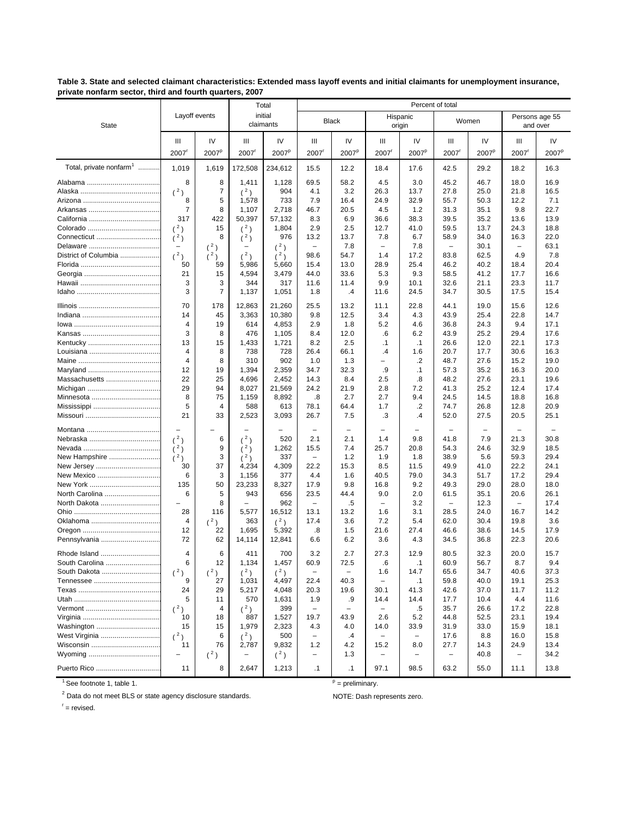Table 3. State and selected claimant characteristics: Extended mass layoff events and initial claimants for unemployment insurance, private nonfarm sector, third and fourth quarters, 2007

|                                     |                               |                   |                                            | Total                    |                           |                          |                                 | Percent of total  |                                            |                   |                            |                   |
|-------------------------------------|-------------------------------|-------------------|--------------------------------------------|--------------------------|---------------------------|--------------------------|---------------------------------|-------------------|--------------------------------------------|-------------------|----------------------------|-------------------|
| <b>State</b>                        |                               | Layoff events     |                                            | initial<br>claimants     |                           | <b>Black</b>             | Hispanic<br>origin              |                   |                                            | Women             | Persons age 55<br>and over |                   |
|                                     | Ш                             | IV                | Ш                                          | IV                       | Ш                         | IV                       | Ш                               | IV                | Ш                                          | IV                | Ш                          | IV                |
|                                     | $2007$ <sup>r</sup>           | 2007 <sup>p</sup> | $2007$ <sup><math>\frac{1}{2}</math></sup> | 2007 <sup>p</sup>        | 2007                      | 2007 <sup>p</sup>        | $2007$ <sup>r</sup>             | 2007 <sup>p</sup> | $2007$ <sup><math>\frac{1}{2}</math></sup> | 2007 <sup>p</sup> | $2007$ <sup>r</sup>        | 2007 <sup>p</sup> |
| Total, private nonfarm <sup>1</sup> | 1,019                         | 1,619             | 172,508                                    | 234,612                  | 15.5                      | 12.2                     | 18.4                            | 17.6              | 42.5                                       | 29.2              | 18.2                       | 16.3              |
|                                     | 8                             | 8                 | 1,411                                      | 1,128                    | 69.5                      | 58.2                     | 4.5                             | 3.0               | 45.2                                       | 46.7              | 18.0                       | 16.9              |
|                                     | (2)                           | $\overline{7}$    | $(^2)$                                     | 904                      | 4.1                       | 3.2                      | 26.3                            | 13.7              | 27.8                                       | 25.0              | 21.8                       | 16.5              |
|                                     | 8                             | 5                 | 1,578                                      | 733                      | 7.9                       | 16.4                     | 24.9                            | 32.9              | 55.7                                       | 50.3              | 12.2                       | 7.1               |
|                                     | $\overline{7}$                | 8                 | 1,107                                      | 2,718                    | 46.7                      | 20.5                     | 4.5                             | 1.2               | 31.3                                       | 35.1              | 9.8                        | 22.7              |
|                                     | 317                           | 422               | 50,397                                     | 57,132                   | 8.3                       | 6.9                      | 36.6                            | 38.3              | 39.5                                       | 35.2              | 13.6                       | 13.9              |
|                                     | $(^2)$                        | 15                | $(^2)$                                     | 1,804                    | 2.9                       | 2.5                      | 12.7                            | 41.0              | 59.5                                       | 13.7              | 24.3                       | 18.8              |
|                                     | $(^2)$                        | 8                 | (3)                                        | 976                      | 13.2                      | 13.7                     | 7.8                             | 6.7               | 58.9                                       | 34.0              | 16.3                       | 22.0              |
|                                     | $\qquad \qquad -$             | $(^2)$            |                                            | (2)                      | $\overline{\phantom{0}}$  | 7.8                      | $\overline{\phantom{0}}$        | 7.8               | $\overline{\phantom{0}}$                   | 30.1              | $\overline{\phantom{0}}$   | 63.1              |
| District of Columbia                | $(^2)$                        | $(^2)$            | (2)                                        | $(^2)$                   | 98.6                      | 54.7                     | 1.4                             | 17.2              | 83.8                                       | 62.5              | 4.9                        | 7.8               |
|                                     | 50                            | 59                | 5,986                                      | 5,660                    | 15.4                      | 13.0                     | 28.9                            | 25.4              | 46.2                                       | 40.2              | 18.4                       | 20.4              |
|                                     | 21<br>3                       | 15<br>3           | 4,594<br>344                               | 3,479<br>317             | 44.0<br>11.6              | 33.6                     | 5.3<br>9.9                      | 9.3<br>10.1       | 58.5<br>32.6                               | 41.2<br>21.1      | 17.7<br>23.3               | 16.6<br>11.7      |
|                                     | 3                             | $\overline{7}$    | 1,137                                      | 1,051                    | 1.8                       | 11.4<br>.4               | 11.6                            | 24.5              | 34.7                                       | 30.5              | 17.5                       | 15.4              |
|                                     |                               |                   |                                            |                          |                           |                          |                                 |                   |                                            |                   |                            |                   |
|                                     | 70                            | 178               | 12,863                                     | 21,260                   | 25.5                      | 13.2                     | 11.1                            | 22.8              | 44.1                                       | 19.0              | 15.6                       | 12.6              |
|                                     | 14<br>4                       | 45<br>19          | 3,363<br>614                               | 10,380                   | 9.8<br>2.9                | 12.5<br>1.8              | 3.4<br>5.2                      | 4.3<br>4.6        | 43.9<br>36.8                               | 25.4<br>24.3      | 22.8<br>9.4                | 14.7<br>17.1      |
|                                     | 3                             | 8                 | 476                                        | 4,853<br>1,105           | 8.4                       | 12.0                     | .6                              | 6.2               | 43.9                                       | 25.2              | 29.4                       | 17.6              |
|                                     | 13                            | 15                | 1,433                                      | 1,721                    | 8.2                       | 2.5                      | $\cdot$ 1                       | .1                | 26.6                                       | 12.0              | 22.1                       | 17.3              |
|                                     | 4                             | 8                 | 738                                        | 728                      | 26.4                      | 66.1                     | $\cdot$                         | 1.6               | 20.7                                       | 17.7              | 30.6                       | 16.3              |
|                                     | $\overline{4}$                | 8                 | 310                                        | 902                      | 1.0                       | 1.3                      | -                               | .2                | 48.7                                       | 27.6              | 15.2                       | 19.0              |
|                                     | 12                            | 19                | 1,394                                      | 2,359                    | 34.7                      | 32.3                     | .9                              | $\cdot$ 1         | 57.3                                       | 35.2              | 16.3                       | 20.0              |
| Massachusetts                       | 22                            | 25                | 4,696                                      | 2,452                    | 14.3                      | 8.4                      | 2.5                             | .8                | 48.2                                       | 27.6              | 23.1                       | 19.6              |
|                                     | 29                            | 94                | 8,027                                      | 21,569                   | 24.2                      | 21.9                     | 2.8                             | 7.2               | 41.3                                       | 25.2              | 12.4                       | 17.4              |
|                                     | 8                             | 75                | 1,159                                      | 8,892                    | $\boldsymbol{.8}$         | 2.7                      | 2.7                             | 9.4               | 24.5                                       | 14.5              | 18.8                       | 16.8              |
|                                     | 5                             | 4                 | 588                                        | 613                      | 78.1                      | 64.4                     | 1.7                             | .2                | 74.7                                       | 26.8              | 12.8                       | 20.9              |
|                                     | 21                            | 33                | 2,523                                      | 3,093                    | 26.7                      | 7.5                      | .3                              | $\cdot$           | 52.0                                       | 27.5              | 20.5                       | 25.1              |
|                                     | $\equiv$                      |                   |                                            | $\overline{\phantom{0}}$ | $\overline{\phantom{a}}$  | $\overline{\phantom{0}}$ |                                 |                   |                                            | $\sim$            | $\equiv$                   |                   |
|                                     | (2)                           | 6                 | (2)                                        | 520                      | 2.1                       | 2.1                      | 1.4                             | 9.8               | 41.8                                       | 7.9               | 21.3                       | 30.8              |
|                                     | $(^2)$                        | 9                 | (2)                                        | 1,262                    | 15.5                      | 7.4                      | 25.7                            | 20.8              | 54.3                                       | 24.6              | 32.9                       | 18.5              |
| New Hampshire                       | (2)                           | 3                 | (3)                                        | 337                      | $\overline{\phantom{a}}$  | 1.2                      | 1.9                             | 1.8               | 38.9                                       | 5.6               | 59.3                       | 29.4              |
| New Jersey                          | 30                            | 37                | 4,234                                      | 4,309                    | 22.2                      | 15.3                     | 8.5                             | 11.5              | 49.9                                       | 41.0              | 22.2                       | 24.1              |
| New Mexico                          | 6                             | 3                 | 1,156                                      | 377                      | 4.4                       | 1.6                      | 40.5                            | 79.0              | 34.3                                       | 51.7              | 17.2                       | 29.4              |
|                                     | 135                           | 50                | 23,233                                     | 8,327                    | 17.9                      | 9.8                      | 16.8                            | 9.2               | 49.3                                       | 29.0              | 28.0                       | 18.0              |
| North Carolina<br>North Dakota      | 6<br>$\overline{\phantom{a}}$ | 5<br>8            | 943<br>$\overline{\phantom{0}}$            | 656<br>962               | 23.5<br>$\qquad \qquad -$ | 44.4<br>.5               | 9.0<br>$\overline{\phantom{0}}$ | 2.0<br>3.2        | 61.5<br>$\overline{\phantom{m}}$           | 35.1<br>12.3      | 20.6<br>$\qquad \qquad -$  | 26.1<br>17.4      |
|                                     | 28                            | 116               | 5,577                                      | 16,512                   | 13.1                      | 13.2                     | 1.6                             | 3.1               | 28.5                                       | 24.0              | 16.7                       | 14.2              |
|                                     | 4                             | $(^2)$            | 363                                        | (2)                      | 17.4                      | 3.6                      | 7.2                             | 5.4               | 62.0                                       | 30.4              | 19.8                       | 3.6               |
|                                     | 12                            | 22                | 1,695                                      | 5,392                    | .8                        | 1.5                      | 21.6                            | 27.4              | 46.6                                       | 38.6              | 14.5                       | 17.9              |
| Pennsylvania                        | 72                            | 62                | 14,114                                     | 12,841                   | 6.6                       | 6.2                      | 3.6                             | 4.3               | 34.5                                       | 36.8              | 22.3                       | 20.6              |
|                                     | 4                             | 6                 | 411                                        | 700                      | 3.2                       | 2.7                      | 27.3                            | 12.9              | 80.5                                       | 32.3              | 20.0                       | 15.7              |
| South Carolina                      | 6                             | 12                | 1,134                                      | 1,457                    | 60.9                      | 72.5                     | .6                              | $\cdot$ 1         | 60.9                                       | 56.7              | 8.7                        | 9.4               |
| South Dakota                        | $(^2)$                        | $(^2)$            | $(^2)$                                     | $(^2)$                   | $\qquad \qquad -$         | $\qquad \qquad -$        | 1.6                             | 14.7              | 65.6                                       | 34.7              | 40.6                       | 37.3              |
|                                     | 9                             | 27                | 1,031                                      | 4,497                    | 22.4                      | 40.3                     | $\overline{\phantom{0}}$        | $\cdot$ 1         | 59.8                                       | 40.0              | 19.1                       | 25.3              |
|                                     | 24                            | 29                | 5,217                                      | 4,048                    | 20.3                      | 19.6                     | 30.1                            | 41.3              | 42.6                                       | 37.0              | 11.7                       | 11.2              |
|                                     | 5                             | 11                | 570                                        | 1,631                    | 1.9                       | .9                       | 14.4                            | 14.4              | 17.7                                       | 10.4              | 4.4                        | 11.6              |
|                                     | (2)                           | 4                 | (2)                                        | 399                      | $\overline{\phantom{a}}$  |                          |                                 | .5                | 35.7                                       | 26.6              | 17.2                       | 22.8              |
|                                     | 10                            | 18                | 887                                        | 1,527                    | 19.7                      | 43.9                     | 2.6                             | 5.2               | 44.8                                       | 52.5              | 23.1                       | 19.4              |
| Washington                          | 15                            | 15                | 1,979                                      | 2,323                    | 4.3                       | 4.0                      | 14.0                            | 33.9              | 31.9                                       | 33.0              | 15.9                       | 18.1              |
| West Virginia                       | (2)                           | 6                 | (2)                                        | 500                      | $\overline{\phantom{m}}$  | $\cdot$                  | -                               | $\qquad \qquad -$ | 17.6                                       | 8.8               | 16.0                       | 15.8              |
|                                     | 11                            | 76                | 2,787                                      | 9,832                    | 1.2                       | 4.2                      | 15.2                            | 8.0               | 27.7                                       | 14.3              | 24.9                       | 13.4              |
|                                     | $\qquad \qquad -$             | $(^2)$            | -                                          | $(^2)$                   | $\qquad \qquad -$         | 1.3                      |                                 | -                 | $\overline{\phantom{m}}$                   | 40.8              | $\qquad \qquad -$          | 34.2              |
| Puerto Rico                         | 11                            | 8                 | 2,647                                      | 1,213                    | $\cdot$ 1                 | $\cdot$ 1                | 97.1                            | 98.5              | 63.2                                       | 55.0              | 11.1                       | 13.8              |

 $1$  See footnote 1, table 1.

 $P =$  preliminary.

 $2$  Data do not meet BLS or state agency disclosure standards.

 $r =$  revised.

NOTE: Dash represents zero.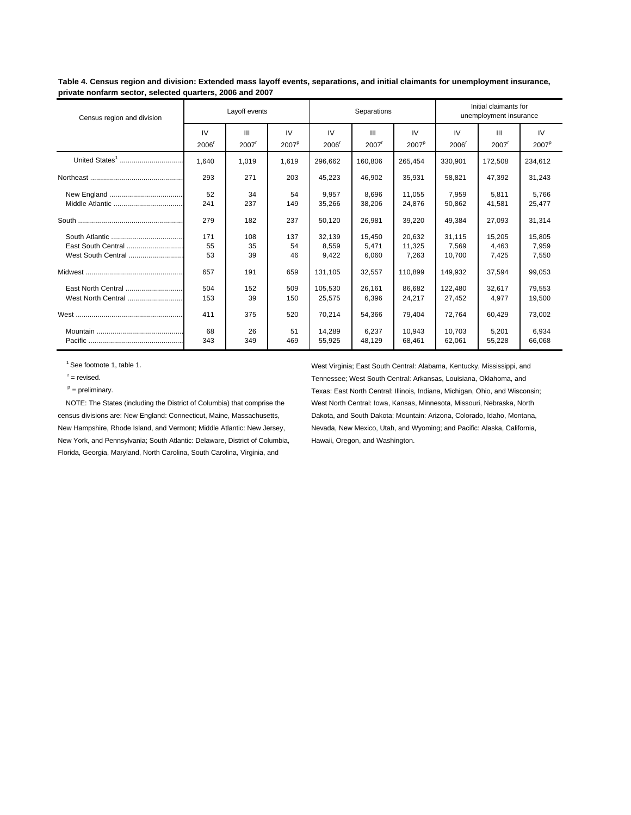**Table 4. Census region and division: Extended mass layoff events, separations, and initial claimants for unemployment insurance, private nonfarm sector, selected quarters, 2006 and 2007**

| Census region and division | Layoff events |                     |                   |         | Separations         |                   | Initial claimants for<br>unemployment insurance |                     |                   |
|----------------------------|---------------|---------------------|-------------------|---------|---------------------|-------------------|-------------------------------------------------|---------------------|-------------------|
|                            | IV            | Ш                   | IV                | IV      | Ш                   | IV                | IV                                              | $\mathbf{III}$      | IV                |
|                            | 2006          | $2007$ <sup>r</sup> | 2007 <sup>P</sup> | 2006    | $2007$ <sup>r</sup> | 2007 <sup>p</sup> | 2006                                            | $2007$ <sup>r</sup> | 2007 <sup>p</sup> |
| United States <sup>1</sup> | 1.640         | 1.019               | 1.619             | 296,662 | 160.806             | 265,454           | 330,901                                         | 172,508             | 234,612           |
|                            | 293           | 271                 | 203               | 45,223  | 46,902              | 35,931            | 58,821                                          | 47,392              | 31,243            |
|                            | 52            | 34                  | 54                | 9.957   | 8.696               | 11.055            | 7.959                                           | 5.811               | 5.766             |
|                            | 241           | 237                 | 149               | 35,266  | 38,206              | 24.876            | 50,862                                          | 41,581              | 25,477            |
|                            | 279           | 182                 | 237               | 50,120  | 26,981              | 39,220            | 49,384                                          | 27,093              | 31,314            |
|                            | 171           | 108                 | 137               | 32.139  | 15.450              | 20.632            | 31.115                                          | 15,205              | 15,805            |
| East South Central         | 55            | 35                  | 54                | 8,559   | 5.471               | 11.325            | 7,569                                           | 4.463               | 7,959             |
| West South Central         | 53            | 39                  | 46                | 9,422   | 6,060               | 7,263             | 10,700                                          | 7,425               | 7,550             |
|                            | 657           | 191                 | 659               | 131.105 | 32,557              | 110.899           | 149.932                                         | 37,594              | 99,053            |
| East North Central         | 504           | 152                 | 509               | 105,530 | 26.161              | 86.682            | 122.480                                         | 32,617              | 79,553            |
|                            | 153           | 39                  | 150               | 25,575  | 6,396               | 24,217            | 27,452                                          | 4,977               | 19,500            |
|                            | 411           | 375                 | 520               | 70.214  | 54.366              | 79.404            | 72.764                                          | 60.429              | 73.002            |
|                            | 68            | 26                  | 51                | 14.289  | 6.237               | 10.943            | 10.703                                          | 5,201               | 6,934             |
|                            | 343           | 349                 | 469               | 55,925  | 48,129              | 68.461            | 62,061                                          | 55,228              | 66,068            |

census divisions are: New England: Connecticut, Maine, Massachusetts, Dakota, and South Dakota; Mountain: Arizona, Colorado, Idaho, Montana, New Hampshire, Rhode Island, and Vermont; Middle Atlantic: New Jersey, Nevada, New Mexico, Utah, and Wyoming; and Pacific: Alaska, California, New York, and Pennsylvania; South Atlantic: Delaware, District of Columbia, Hawaii, Oregon, and Washington. Florida, Georgia, Maryland, North Carolina, South Carolina, Virginia, and

<sup>1</sup>See footnote 1, table 1. West Virginia; East South Central: Alabama, Kentucky, Mississippi, and  $r =$  revised. Tennessee; West South Central: Arkansas, Louisiana, Oklahoma, and  $p =$  preliminary.<br>Texas: East North Central: Illinois, Indiana, Michigan, Ohio, and Wisconsin; NOTE: The States (including the District of Columbia) that comprise the West North Central: Iowa, Kansas, Minnesota, Missouri, Nebraska, North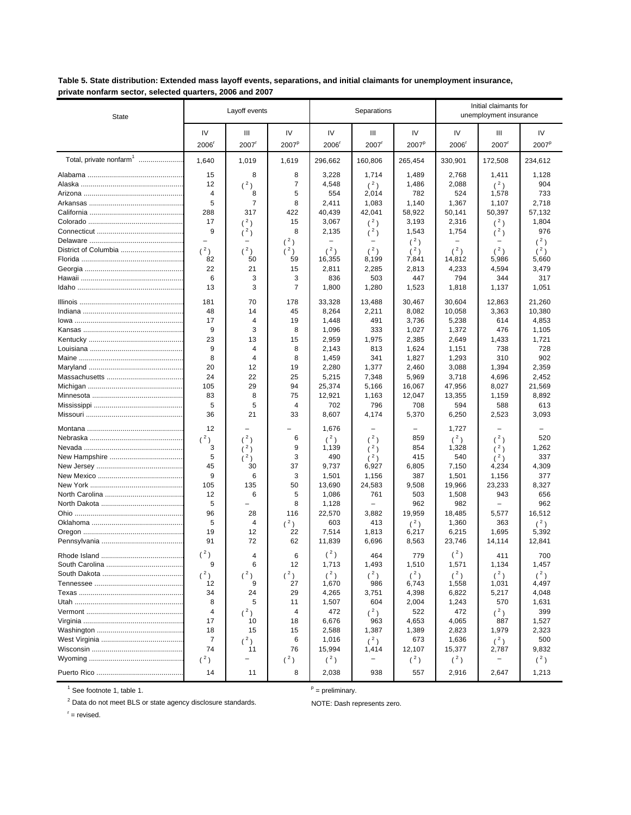Table 5. State distribution: Extended mass layoff events, separations, and initial claimants for unemployment insurance, private nonfarm sector, selected quarters, 2006 and 2007

| IV<br>IV<br>IV<br>IV<br>IV<br>IV<br>Ш<br>Ш<br>Ш<br>2007 <sup>p</sup><br>2007 <sup>p</sup><br>2006<br>$2007$ <sup>r</sup><br>2006<br>$2007$ <sup>r</sup><br>2006<br>$2007$ <sup>r</sup><br>2007 <sup>P</sup><br>Total, private nonfarm <sup>1</sup><br>1,640<br>1,019<br>296,662<br>160,806<br>265,454<br>330,901<br>234,612<br>1,619<br>172.508<br>15<br>8<br>8<br>3,228<br>1,714<br>1,489<br>2,768<br>1,411<br>1,128<br>$(^2)$<br>7<br>$(^2)$<br>2,088<br>$(^2)$<br>904<br>12<br>4,548<br>1,486<br>4<br>5<br>554<br>2,014<br>782<br>524<br>1,578<br>733<br>8<br>5<br>$\overline{7}$<br>8<br>1,083<br>1,367<br>1,107<br>2,411<br>1,140<br>2,718<br>288<br>317<br>422<br>40,439<br>42,041<br>58.922<br>50,397<br>57,132<br>50,141<br>17<br>3,193<br>1,804<br>(2)<br>15<br>3,067<br>2,316<br>(2)<br>(2)<br>9<br>8<br>976<br>2,135<br>1,543<br>1,754<br>(2)<br>(2)<br>(3)<br>$(^2)$<br>(2)<br>(2)<br>-<br>(2)<br>(2)<br>(2)<br>(2)<br>$(^2)$<br>(2)<br>(2)<br>(2)<br>(3)<br>82<br>50<br>59<br>5,986<br>16,355<br>8,199<br>7,841<br>14,812<br>5,660<br>22<br>21<br>15<br>2,811<br>2,285<br>2,813<br>4,233<br>4,594<br>3,479<br>3<br>6<br>3<br>503<br>447<br>794<br>317<br>836<br>344<br>$\overline{7}$<br>3<br>13<br>1,800<br>1,280<br>1,523<br>1,818<br>1,137<br>1,051<br>30,467<br>30,604<br>181<br>70<br>178<br>33,328<br>13,488<br>12,863<br>21,260<br>2,211<br>10,058<br>10,380<br>48<br>14<br>45<br>8,264<br>8,082<br>3,363<br>$\overline{4}$<br>19<br>491<br>3,736<br>5,238<br>17<br>1,448<br>614<br>4,853<br>9<br>3<br>8<br>333<br>1,096<br>1,027<br>1,372<br>476<br>1,105<br>23<br>13<br>1,721<br>15<br>2,959<br>1,975<br>2,385<br>2,649<br>1,433<br>9<br>$\overline{4}$<br>8<br>728<br>2,143<br>813<br>1,624<br>1,151<br>738<br>8<br>8<br>1,827<br>1,293<br>902<br>4<br>1,459<br>341<br>310<br>20<br>1,394<br>2,359<br>12<br>19<br>2,280<br>1,377<br>2,460<br>3,088<br>24<br>5,969<br>3,718<br>22<br>25<br>5,215<br>7,348<br>4,696<br>2,452<br>105<br>29<br>94<br>25,374<br>5,166<br>16,067<br>47,956<br>8,027<br>21,569<br>8<br>75<br>12,921<br>12,047<br>83<br>1,163<br>13,355<br>1,159<br>8,892<br>5<br>796<br>708<br>5<br>4<br>702<br>594<br>588<br>613<br>36<br>21<br>8,607<br>4,174<br>5,370<br>6,250<br>3,093<br>33<br>2,523<br>12<br>1,676<br>1,727<br>$(^2)$<br>$(^2)$<br>6<br>$(^2)$<br>$(^2)$<br>$(^2)$<br>(2)<br>520<br>859<br>3<br>9<br>854<br>1,328<br>1,262<br>(2)<br>1,139<br>(2)<br>(2)<br>5<br>3<br>337<br>490<br>415<br>540<br>(3)<br>$(^2)$<br>(2)<br>45<br>30<br>37<br>9,737<br>6,927<br>6,805<br>7,150<br>4,234<br>4,309<br>3<br>9<br>6<br>1,156<br>387<br>1,501<br>377<br>1,501<br>1,156<br>135<br>50<br>24,583<br>9,508<br>23,233<br>105<br>13,690<br>19,966<br>8,327<br>6<br>5<br>1,086<br>761<br>503<br>943<br>656<br>12<br>1,508<br>5<br>962<br>8<br>1,128<br>982<br>962<br>96<br>19,959<br>16,512<br>28<br>116<br>22,570<br>3,882<br>18,485<br>5,577<br>5<br>$(^2)$<br>603<br>1,360<br>4<br>413<br>(2)<br>363<br>(2)<br>19<br>7,514<br>6,215<br>1,695<br>12<br>22<br>1,813<br>5,392<br>6,217<br>91<br>72<br>62<br>11,839<br>6,696<br>23,746<br>12,841<br>8,563<br>14,114<br>$(^2)$<br>$({}^{2})$<br>$({}^{2})$<br>6<br>4<br>464<br>779<br>700<br>411<br>9<br>12<br>1,713<br>1,493<br>1,510<br>1,571<br>1,134<br>1,457<br>6<br>$(^{2})$<br>$(^2)$<br>$(^2)$<br>$(^2)$<br>$(^2)$<br>$(^2)$<br>$(^2)$<br>$(^2)$<br>$(^2)$<br>27<br>12<br>1,670<br>986<br>1,031<br>4,497<br>9<br>6,743<br>1,558<br>29<br>6,822<br>34<br>24<br>4,265<br>3,751<br>4,398<br>5,217<br>4,048<br>8<br>5<br>604<br>11<br>1,507<br>2,004<br>1,243<br>570<br>1,631<br>4<br>472<br>$(^2)$<br>4<br>472<br>522<br>$(^2)$<br>399<br>$(^2)$<br>17<br>10<br>18<br>6,676<br>963<br>4,653<br>4,065<br>887<br>1,527<br>18<br>1,387<br>1,389<br>2,823<br>1,979<br>15<br>15<br>2,588<br>2,323<br>7<br>1,636<br>6<br>1,016<br>$(^2)$<br>673<br>$(^2)$<br>500<br>$(^2)$<br>74<br>76<br>15,994<br>12,107<br>15,377<br>9,832<br>11<br>1,414<br>2,787<br>$(^2)$<br>$(^2)$<br>$({}^{2})$<br>$(^2)$<br>$(^2)$<br>$(^2)$<br>-<br>8<br>14<br>11<br>2,038<br>938<br>557<br>2,916<br>1,213<br>2,647 | <b>State</b> | Layoff events | Separations |  |  | Initial claimants for<br>unemployment insurance |  |  |
|------------------------------------------------------------------------------------------------------------------------------------------------------------------------------------------------------------------------------------------------------------------------------------------------------------------------------------------------------------------------------------------------------------------------------------------------------------------------------------------------------------------------------------------------------------------------------------------------------------------------------------------------------------------------------------------------------------------------------------------------------------------------------------------------------------------------------------------------------------------------------------------------------------------------------------------------------------------------------------------------------------------------------------------------------------------------------------------------------------------------------------------------------------------------------------------------------------------------------------------------------------------------------------------------------------------------------------------------------------------------------------------------------------------------------------------------------------------------------------------------------------------------------------------------------------------------------------------------------------------------------------------------------------------------------------------------------------------------------------------------------------------------------------------------------------------------------------------------------------------------------------------------------------------------------------------------------------------------------------------------------------------------------------------------------------------------------------------------------------------------------------------------------------------------------------------------------------------------------------------------------------------------------------------------------------------------------------------------------------------------------------------------------------------------------------------------------------------------------------------------------------------------------------------------------------------------------------------------------------------------------------------------------------------------------------------------------------------------------------------------------------------------------------------------------------------------------------------------------------------------------------------------------------------------------------------------------------------------------------------------------------------------------------------------------------------------------------------------------------------------------------------------------------------------------------------------------------------------------------------------------------------------------------------------------------------------------------------------------------------------------------------------------------------------------------------------------------------------------------------------------------------------------------------------------------------------------------------------------------------------------------------------------------------------------------------------------------------------------------------------------------------------------------------------------------------------------------------------------------------------------------------------------------------------------------------------------------------------------------------------------------------------------------------------------------------------------------|--------------|---------------|-------------|--|--|-------------------------------------------------|--|--|
|                                                                                                                                                                                                                                                                                                                                                                                                                                                                                                                                                                                                                                                                                                                                                                                                                                                                                                                                                                                                                                                                                                                                                                                                                                                                                                                                                                                                                                                                                                                                                                                                                                                                                                                                                                                                                                                                                                                                                                                                                                                                                                                                                                                                                                                                                                                                                                                                                                                                                                                                                                                                                                                                                                                                                                                                                                                                                                                                                                                                                                                                                                                                                                                                                                                                                                                                                                                                                                                                                                                                                                                                                                                                                                                                                                                                                                                                                                                                                                                                                                                                                    |              |               |             |  |  |                                                 |  |  |
|                                                                                                                                                                                                                                                                                                                                                                                                                                                                                                                                                                                                                                                                                                                                                                                                                                                                                                                                                                                                                                                                                                                                                                                                                                                                                                                                                                                                                                                                                                                                                                                                                                                                                                                                                                                                                                                                                                                                                                                                                                                                                                                                                                                                                                                                                                                                                                                                                                                                                                                                                                                                                                                                                                                                                                                                                                                                                                                                                                                                                                                                                                                                                                                                                                                                                                                                                                                                                                                                                                                                                                                                                                                                                                                                                                                                                                                                                                                                                                                                                                                                                    |              |               |             |  |  |                                                 |  |  |
|                                                                                                                                                                                                                                                                                                                                                                                                                                                                                                                                                                                                                                                                                                                                                                                                                                                                                                                                                                                                                                                                                                                                                                                                                                                                                                                                                                                                                                                                                                                                                                                                                                                                                                                                                                                                                                                                                                                                                                                                                                                                                                                                                                                                                                                                                                                                                                                                                                                                                                                                                                                                                                                                                                                                                                                                                                                                                                                                                                                                                                                                                                                                                                                                                                                                                                                                                                                                                                                                                                                                                                                                                                                                                                                                                                                                                                                                                                                                                                                                                                                                                    |              |               |             |  |  |                                                 |  |  |
|                                                                                                                                                                                                                                                                                                                                                                                                                                                                                                                                                                                                                                                                                                                                                                                                                                                                                                                                                                                                                                                                                                                                                                                                                                                                                                                                                                                                                                                                                                                                                                                                                                                                                                                                                                                                                                                                                                                                                                                                                                                                                                                                                                                                                                                                                                                                                                                                                                                                                                                                                                                                                                                                                                                                                                                                                                                                                                                                                                                                                                                                                                                                                                                                                                                                                                                                                                                                                                                                                                                                                                                                                                                                                                                                                                                                                                                                                                                                                                                                                                                                                    |              |               |             |  |  |                                                 |  |  |
|                                                                                                                                                                                                                                                                                                                                                                                                                                                                                                                                                                                                                                                                                                                                                                                                                                                                                                                                                                                                                                                                                                                                                                                                                                                                                                                                                                                                                                                                                                                                                                                                                                                                                                                                                                                                                                                                                                                                                                                                                                                                                                                                                                                                                                                                                                                                                                                                                                                                                                                                                                                                                                                                                                                                                                                                                                                                                                                                                                                                                                                                                                                                                                                                                                                                                                                                                                                                                                                                                                                                                                                                                                                                                                                                                                                                                                                                                                                                                                                                                                                                                    |              |               |             |  |  |                                                 |  |  |
|                                                                                                                                                                                                                                                                                                                                                                                                                                                                                                                                                                                                                                                                                                                                                                                                                                                                                                                                                                                                                                                                                                                                                                                                                                                                                                                                                                                                                                                                                                                                                                                                                                                                                                                                                                                                                                                                                                                                                                                                                                                                                                                                                                                                                                                                                                                                                                                                                                                                                                                                                                                                                                                                                                                                                                                                                                                                                                                                                                                                                                                                                                                                                                                                                                                                                                                                                                                                                                                                                                                                                                                                                                                                                                                                                                                                                                                                                                                                                                                                                                                                                    |              |               |             |  |  |                                                 |  |  |
|                                                                                                                                                                                                                                                                                                                                                                                                                                                                                                                                                                                                                                                                                                                                                                                                                                                                                                                                                                                                                                                                                                                                                                                                                                                                                                                                                                                                                                                                                                                                                                                                                                                                                                                                                                                                                                                                                                                                                                                                                                                                                                                                                                                                                                                                                                                                                                                                                                                                                                                                                                                                                                                                                                                                                                                                                                                                                                                                                                                                                                                                                                                                                                                                                                                                                                                                                                                                                                                                                                                                                                                                                                                                                                                                                                                                                                                                                                                                                                                                                                                                                    |              |               |             |  |  |                                                 |  |  |
|                                                                                                                                                                                                                                                                                                                                                                                                                                                                                                                                                                                                                                                                                                                                                                                                                                                                                                                                                                                                                                                                                                                                                                                                                                                                                                                                                                                                                                                                                                                                                                                                                                                                                                                                                                                                                                                                                                                                                                                                                                                                                                                                                                                                                                                                                                                                                                                                                                                                                                                                                                                                                                                                                                                                                                                                                                                                                                                                                                                                                                                                                                                                                                                                                                                                                                                                                                                                                                                                                                                                                                                                                                                                                                                                                                                                                                                                                                                                                                                                                                                                                    |              |               |             |  |  |                                                 |  |  |
|                                                                                                                                                                                                                                                                                                                                                                                                                                                                                                                                                                                                                                                                                                                                                                                                                                                                                                                                                                                                                                                                                                                                                                                                                                                                                                                                                                                                                                                                                                                                                                                                                                                                                                                                                                                                                                                                                                                                                                                                                                                                                                                                                                                                                                                                                                                                                                                                                                                                                                                                                                                                                                                                                                                                                                                                                                                                                                                                                                                                                                                                                                                                                                                                                                                                                                                                                                                                                                                                                                                                                                                                                                                                                                                                                                                                                                                                                                                                                                                                                                                                                    |              |               |             |  |  |                                                 |  |  |
|                                                                                                                                                                                                                                                                                                                                                                                                                                                                                                                                                                                                                                                                                                                                                                                                                                                                                                                                                                                                                                                                                                                                                                                                                                                                                                                                                                                                                                                                                                                                                                                                                                                                                                                                                                                                                                                                                                                                                                                                                                                                                                                                                                                                                                                                                                                                                                                                                                                                                                                                                                                                                                                                                                                                                                                                                                                                                                                                                                                                                                                                                                                                                                                                                                                                                                                                                                                                                                                                                                                                                                                                                                                                                                                                                                                                                                                                                                                                                                                                                                                                                    |              |               |             |  |  |                                                 |  |  |
|                                                                                                                                                                                                                                                                                                                                                                                                                                                                                                                                                                                                                                                                                                                                                                                                                                                                                                                                                                                                                                                                                                                                                                                                                                                                                                                                                                                                                                                                                                                                                                                                                                                                                                                                                                                                                                                                                                                                                                                                                                                                                                                                                                                                                                                                                                                                                                                                                                                                                                                                                                                                                                                                                                                                                                                                                                                                                                                                                                                                                                                                                                                                                                                                                                                                                                                                                                                                                                                                                                                                                                                                                                                                                                                                                                                                                                                                                                                                                                                                                                                                                    |              |               |             |  |  |                                                 |  |  |
|                                                                                                                                                                                                                                                                                                                                                                                                                                                                                                                                                                                                                                                                                                                                                                                                                                                                                                                                                                                                                                                                                                                                                                                                                                                                                                                                                                                                                                                                                                                                                                                                                                                                                                                                                                                                                                                                                                                                                                                                                                                                                                                                                                                                                                                                                                                                                                                                                                                                                                                                                                                                                                                                                                                                                                                                                                                                                                                                                                                                                                                                                                                                                                                                                                                                                                                                                                                                                                                                                                                                                                                                                                                                                                                                                                                                                                                                                                                                                                                                                                                                                    |              |               |             |  |  |                                                 |  |  |
|                                                                                                                                                                                                                                                                                                                                                                                                                                                                                                                                                                                                                                                                                                                                                                                                                                                                                                                                                                                                                                                                                                                                                                                                                                                                                                                                                                                                                                                                                                                                                                                                                                                                                                                                                                                                                                                                                                                                                                                                                                                                                                                                                                                                                                                                                                                                                                                                                                                                                                                                                                                                                                                                                                                                                                                                                                                                                                                                                                                                                                                                                                                                                                                                                                                                                                                                                                                                                                                                                                                                                                                                                                                                                                                                                                                                                                                                                                                                                                                                                                                                                    |              |               |             |  |  |                                                 |  |  |
|                                                                                                                                                                                                                                                                                                                                                                                                                                                                                                                                                                                                                                                                                                                                                                                                                                                                                                                                                                                                                                                                                                                                                                                                                                                                                                                                                                                                                                                                                                                                                                                                                                                                                                                                                                                                                                                                                                                                                                                                                                                                                                                                                                                                                                                                                                                                                                                                                                                                                                                                                                                                                                                                                                                                                                                                                                                                                                                                                                                                                                                                                                                                                                                                                                                                                                                                                                                                                                                                                                                                                                                                                                                                                                                                                                                                                                                                                                                                                                                                                                                                                    |              |               |             |  |  |                                                 |  |  |
|                                                                                                                                                                                                                                                                                                                                                                                                                                                                                                                                                                                                                                                                                                                                                                                                                                                                                                                                                                                                                                                                                                                                                                                                                                                                                                                                                                                                                                                                                                                                                                                                                                                                                                                                                                                                                                                                                                                                                                                                                                                                                                                                                                                                                                                                                                                                                                                                                                                                                                                                                                                                                                                                                                                                                                                                                                                                                                                                                                                                                                                                                                                                                                                                                                                                                                                                                                                                                                                                                                                                                                                                                                                                                                                                                                                                                                                                                                                                                                                                                                                                                    |              |               |             |  |  |                                                 |  |  |
|                                                                                                                                                                                                                                                                                                                                                                                                                                                                                                                                                                                                                                                                                                                                                                                                                                                                                                                                                                                                                                                                                                                                                                                                                                                                                                                                                                                                                                                                                                                                                                                                                                                                                                                                                                                                                                                                                                                                                                                                                                                                                                                                                                                                                                                                                                                                                                                                                                                                                                                                                                                                                                                                                                                                                                                                                                                                                                                                                                                                                                                                                                                                                                                                                                                                                                                                                                                                                                                                                                                                                                                                                                                                                                                                                                                                                                                                                                                                                                                                                                                                                    |              |               |             |  |  |                                                 |  |  |
|                                                                                                                                                                                                                                                                                                                                                                                                                                                                                                                                                                                                                                                                                                                                                                                                                                                                                                                                                                                                                                                                                                                                                                                                                                                                                                                                                                                                                                                                                                                                                                                                                                                                                                                                                                                                                                                                                                                                                                                                                                                                                                                                                                                                                                                                                                                                                                                                                                                                                                                                                                                                                                                                                                                                                                                                                                                                                                                                                                                                                                                                                                                                                                                                                                                                                                                                                                                                                                                                                                                                                                                                                                                                                                                                                                                                                                                                                                                                                                                                                                                                                    |              |               |             |  |  |                                                 |  |  |
|                                                                                                                                                                                                                                                                                                                                                                                                                                                                                                                                                                                                                                                                                                                                                                                                                                                                                                                                                                                                                                                                                                                                                                                                                                                                                                                                                                                                                                                                                                                                                                                                                                                                                                                                                                                                                                                                                                                                                                                                                                                                                                                                                                                                                                                                                                                                                                                                                                                                                                                                                                                                                                                                                                                                                                                                                                                                                                                                                                                                                                                                                                                                                                                                                                                                                                                                                                                                                                                                                                                                                                                                                                                                                                                                                                                                                                                                                                                                                                                                                                                                                    |              |               |             |  |  |                                                 |  |  |
|                                                                                                                                                                                                                                                                                                                                                                                                                                                                                                                                                                                                                                                                                                                                                                                                                                                                                                                                                                                                                                                                                                                                                                                                                                                                                                                                                                                                                                                                                                                                                                                                                                                                                                                                                                                                                                                                                                                                                                                                                                                                                                                                                                                                                                                                                                                                                                                                                                                                                                                                                                                                                                                                                                                                                                                                                                                                                                                                                                                                                                                                                                                                                                                                                                                                                                                                                                                                                                                                                                                                                                                                                                                                                                                                                                                                                                                                                                                                                                                                                                                                                    |              |               |             |  |  |                                                 |  |  |
|                                                                                                                                                                                                                                                                                                                                                                                                                                                                                                                                                                                                                                                                                                                                                                                                                                                                                                                                                                                                                                                                                                                                                                                                                                                                                                                                                                                                                                                                                                                                                                                                                                                                                                                                                                                                                                                                                                                                                                                                                                                                                                                                                                                                                                                                                                                                                                                                                                                                                                                                                                                                                                                                                                                                                                                                                                                                                                                                                                                                                                                                                                                                                                                                                                                                                                                                                                                                                                                                                                                                                                                                                                                                                                                                                                                                                                                                                                                                                                                                                                                                                    |              |               |             |  |  |                                                 |  |  |
|                                                                                                                                                                                                                                                                                                                                                                                                                                                                                                                                                                                                                                                                                                                                                                                                                                                                                                                                                                                                                                                                                                                                                                                                                                                                                                                                                                                                                                                                                                                                                                                                                                                                                                                                                                                                                                                                                                                                                                                                                                                                                                                                                                                                                                                                                                                                                                                                                                                                                                                                                                                                                                                                                                                                                                                                                                                                                                                                                                                                                                                                                                                                                                                                                                                                                                                                                                                                                                                                                                                                                                                                                                                                                                                                                                                                                                                                                                                                                                                                                                                                                    |              |               |             |  |  |                                                 |  |  |
|                                                                                                                                                                                                                                                                                                                                                                                                                                                                                                                                                                                                                                                                                                                                                                                                                                                                                                                                                                                                                                                                                                                                                                                                                                                                                                                                                                                                                                                                                                                                                                                                                                                                                                                                                                                                                                                                                                                                                                                                                                                                                                                                                                                                                                                                                                                                                                                                                                                                                                                                                                                                                                                                                                                                                                                                                                                                                                                                                                                                                                                                                                                                                                                                                                                                                                                                                                                                                                                                                                                                                                                                                                                                                                                                                                                                                                                                                                                                                                                                                                                                                    |              |               |             |  |  |                                                 |  |  |
|                                                                                                                                                                                                                                                                                                                                                                                                                                                                                                                                                                                                                                                                                                                                                                                                                                                                                                                                                                                                                                                                                                                                                                                                                                                                                                                                                                                                                                                                                                                                                                                                                                                                                                                                                                                                                                                                                                                                                                                                                                                                                                                                                                                                                                                                                                                                                                                                                                                                                                                                                                                                                                                                                                                                                                                                                                                                                                                                                                                                                                                                                                                                                                                                                                                                                                                                                                                                                                                                                                                                                                                                                                                                                                                                                                                                                                                                                                                                                                                                                                                                                    |              |               |             |  |  |                                                 |  |  |
|                                                                                                                                                                                                                                                                                                                                                                                                                                                                                                                                                                                                                                                                                                                                                                                                                                                                                                                                                                                                                                                                                                                                                                                                                                                                                                                                                                                                                                                                                                                                                                                                                                                                                                                                                                                                                                                                                                                                                                                                                                                                                                                                                                                                                                                                                                                                                                                                                                                                                                                                                                                                                                                                                                                                                                                                                                                                                                                                                                                                                                                                                                                                                                                                                                                                                                                                                                                                                                                                                                                                                                                                                                                                                                                                                                                                                                                                                                                                                                                                                                                                                    |              |               |             |  |  |                                                 |  |  |
|                                                                                                                                                                                                                                                                                                                                                                                                                                                                                                                                                                                                                                                                                                                                                                                                                                                                                                                                                                                                                                                                                                                                                                                                                                                                                                                                                                                                                                                                                                                                                                                                                                                                                                                                                                                                                                                                                                                                                                                                                                                                                                                                                                                                                                                                                                                                                                                                                                                                                                                                                                                                                                                                                                                                                                                                                                                                                                                                                                                                                                                                                                                                                                                                                                                                                                                                                                                                                                                                                                                                                                                                                                                                                                                                                                                                                                                                                                                                                                                                                                                                                    |              |               |             |  |  |                                                 |  |  |
|                                                                                                                                                                                                                                                                                                                                                                                                                                                                                                                                                                                                                                                                                                                                                                                                                                                                                                                                                                                                                                                                                                                                                                                                                                                                                                                                                                                                                                                                                                                                                                                                                                                                                                                                                                                                                                                                                                                                                                                                                                                                                                                                                                                                                                                                                                                                                                                                                                                                                                                                                                                                                                                                                                                                                                                                                                                                                                                                                                                                                                                                                                                                                                                                                                                                                                                                                                                                                                                                                                                                                                                                                                                                                                                                                                                                                                                                                                                                                                                                                                                                                    |              |               |             |  |  |                                                 |  |  |
|                                                                                                                                                                                                                                                                                                                                                                                                                                                                                                                                                                                                                                                                                                                                                                                                                                                                                                                                                                                                                                                                                                                                                                                                                                                                                                                                                                                                                                                                                                                                                                                                                                                                                                                                                                                                                                                                                                                                                                                                                                                                                                                                                                                                                                                                                                                                                                                                                                                                                                                                                                                                                                                                                                                                                                                                                                                                                                                                                                                                                                                                                                                                                                                                                                                                                                                                                                                                                                                                                                                                                                                                                                                                                                                                                                                                                                                                                                                                                                                                                                                                                    |              |               |             |  |  |                                                 |  |  |
|                                                                                                                                                                                                                                                                                                                                                                                                                                                                                                                                                                                                                                                                                                                                                                                                                                                                                                                                                                                                                                                                                                                                                                                                                                                                                                                                                                                                                                                                                                                                                                                                                                                                                                                                                                                                                                                                                                                                                                                                                                                                                                                                                                                                                                                                                                                                                                                                                                                                                                                                                                                                                                                                                                                                                                                                                                                                                                                                                                                                                                                                                                                                                                                                                                                                                                                                                                                                                                                                                                                                                                                                                                                                                                                                                                                                                                                                                                                                                                                                                                                                                    |              |               |             |  |  |                                                 |  |  |
|                                                                                                                                                                                                                                                                                                                                                                                                                                                                                                                                                                                                                                                                                                                                                                                                                                                                                                                                                                                                                                                                                                                                                                                                                                                                                                                                                                                                                                                                                                                                                                                                                                                                                                                                                                                                                                                                                                                                                                                                                                                                                                                                                                                                                                                                                                                                                                                                                                                                                                                                                                                                                                                                                                                                                                                                                                                                                                                                                                                                                                                                                                                                                                                                                                                                                                                                                                                                                                                                                                                                                                                                                                                                                                                                                                                                                                                                                                                                                                                                                                                                                    |              |               |             |  |  |                                                 |  |  |
|                                                                                                                                                                                                                                                                                                                                                                                                                                                                                                                                                                                                                                                                                                                                                                                                                                                                                                                                                                                                                                                                                                                                                                                                                                                                                                                                                                                                                                                                                                                                                                                                                                                                                                                                                                                                                                                                                                                                                                                                                                                                                                                                                                                                                                                                                                                                                                                                                                                                                                                                                                                                                                                                                                                                                                                                                                                                                                                                                                                                                                                                                                                                                                                                                                                                                                                                                                                                                                                                                                                                                                                                                                                                                                                                                                                                                                                                                                                                                                                                                                                                                    |              |               |             |  |  |                                                 |  |  |
|                                                                                                                                                                                                                                                                                                                                                                                                                                                                                                                                                                                                                                                                                                                                                                                                                                                                                                                                                                                                                                                                                                                                                                                                                                                                                                                                                                                                                                                                                                                                                                                                                                                                                                                                                                                                                                                                                                                                                                                                                                                                                                                                                                                                                                                                                                                                                                                                                                                                                                                                                                                                                                                                                                                                                                                                                                                                                                                                                                                                                                                                                                                                                                                                                                                                                                                                                                                                                                                                                                                                                                                                                                                                                                                                                                                                                                                                                                                                                                                                                                                                                    |              |               |             |  |  |                                                 |  |  |
|                                                                                                                                                                                                                                                                                                                                                                                                                                                                                                                                                                                                                                                                                                                                                                                                                                                                                                                                                                                                                                                                                                                                                                                                                                                                                                                                                                                                                                                                                                                                                                                                                                                                                                                                                                                                                                                                                                                                                                                                                                                                                                                                                                                                                                                                                                                                                                                                                                                                                                                                                                                                                                                                                                                                                                                                                                                                                                                                                                                                                                                                                                                                                                                                                                                                                                                                                                                                                                                                                                                                                                                                                                                                                                                                                                                                                                                                                                                                                                                                                                                                                    |              |               |             |  |  |                                                 |  |  |
|                                                                                                                                                                                                                                                                                                                                                                                                                                                                                                                                                                                                                                                                                                                                                                                                                                                                                                                                                                                                                                                                                                                                                                                                                                                                                                                                                                                                                                                                                                                                                                                                                                                                                                                                                                                                                                                                                                                                                                                                                                                                                                                                                                                                                                                                                                                                                                                                                                                                                                                                                                                                                                                                                                                                                                                                                                                                                                                                                                                                                                                                                                                                                                                                                                                                                                                                                                                                                                                                                                                                                                                                                                                                                                                                                                                                                                                                                                                                                                                                                                                                                    |              |               |             |  |  |                                                 |  |  |
|                                                                                                                                                                                                                                                                                                                                                                                                                                                                                                                                                                                                                                                                                                                                                                                                                                                                                                                                                                                                                                                                                                                                                                                                                                                                                                                                                                                                                                                                                                                                                                                                                                                                                                                                                                                                                                                                                                                                                                                                                                                                                                                                                                                                                                                                                                                                                                                                                                                                                                                                                                                                                                                                                                                                                                                                                                                                                                                                                                                                                                                                                                                                                                                                                                                                                                                                                                                                                                                                                                                                                                                                                                                                                                                                                                                                                                                                                                                                                                                                                                                                                    |              |               |             |  |  |                                                 |  |  |
|                                                                                                                                                                                                                                                                                                                                                                                                                                                                                                                                                                                                                                                                                                                                                                                                                                                                                                                                                                                                                                                                                                                                                                                                                                                                                                                                                                                                                                                                                                                                                                                                                                                                                                                                                                                                                                                                                                                                                                                                                                                                                                                                                                                                                                                                                                                                                                                                                                                                                                                                                                                                                                                                                                                                                                                                                                                                                                                                                                                                                                                                                                                                                                                                                                                                                                                                                                                                                                                                                                                                                                                                                                                                                                                                                                                                                                                                                                                                                                                                                                                                                    |              |               |             |  |  |                                                 |  |  |
|                                                                                                                                                                                                                                                                                                                                                                                                                                                                                                                                                                                                                                                                                                                                                                                                                                                                                                                                                                                                                                                                                                                                                                                                                                                                                                                                                                                                                                                                                                                                                                                                                                                                                                                                                                                                                                                                                                                                                                                                                                                                                                                                                                                                                                                                                                                                                                                                                                                                                                                                                                                                                                                                                                                                                                                                                                                                                                                                                                                                                                                                                                                                                                                                                                                                                                                                                                                                                                                                                                                                                                                                                                                                                                                                                                                                                                                                                                                                                                                                                                                                                    |              |               |             |  |  |                                                 |  |  |
|                                                                                                                                                                                                                                                                                                                                                                                                                                                                                                                                                                                                                                                                                                                                                                                                                                                                                                                                                                                                                                                                                                                                                                                                                                                                                                                                                                                                                                                                                                                                                                                                                                                                                                                                                                                                                                                                                                                                                                                                                                                                                                                                                                                                                                                                                                                                                                                                                                                                                                                                                                                                                                                                                                                                                                                                                                                                                                                                                                                                                                                                                                                                                                                                                                                                                                                                                                                                                                                                                                                                                                                                                                                                                                                                                                                                                                                                                                                                                                                                                                                                                    |              |               |             |  |  |                                                 |  |  |
|                                                                                                                                                                                                                                                                                                                                                                                                                                                                                                                                                                                                                                                                                                                                                                                                                                                                                                                                                                                                                                                                                                                                                                                                                                                                                                                                                                                                                                                                                                                                                                                                                                                                                                                                                                                                                                                                                                                                                                                                                                                                                                                                                                                                                                                                                                                                                                                                                                                                                                                                                                                                                                                                                                                                                                                                                                                                                                                                                                                                                                                                                                                                                                                                                                                                                                                                                                                                                                                                                                                                                                                                                                                                                                                                                                                                                                                                                                                                                                                                                                                                                    |              |               |             |  |  |                                                 |  |  |
|                                                                                                                                                                                                                                                                                                                                                                                                                                                                                                                                                                                                                                                                                                                                                                                                                                                                                                                                                                                                                                                                                                                                                                                                                                                                                                                                                                                                                                                                                                                                                                                                                                                                                                                                                                                                                                                                                                                                                                                                                                                                                                                                                                                                                                                                                                                                                                                                                                                                                                                                                                                                                                                                                                                                                                                                                                                                                                                                                                                                                                                                                                                                                                                                                                                                                                                                                                                                                                                                                                                                                                                                                                                                                                                                                                                                                                                                                                                                                                                                                                                                                    |              |               |             |  |  |                                                 |  |  |
|                                                                                                                                                                                                                                                                                                                                                                                                                                                                                                                                                                                                                                                                                                                                                                                                                                                                                                                                                                                                                                                                                                                                                                                                                                                                                                                                                                                                                                                                                                                                                                                                                                                                                                                                                                                                                                                                                                                                                                                                                                                                                                                                                                                                                                                                                                                                                                                                                                                                                                                                                                                                                                                                                                                                                                                                                                                                                                                                                                                                                                                                                                                                                                                                                                                                                                                                                                                                                                                                                                                                                                                                                                                                                                                                                                                                                                                                                                                                                                                                                                                                                    |              |               |             |  |  |                                                 |  |  |
|                                                                                                                                                                                                                                                                                                                                                                                                                                                                                                                                                                                                                                                                                                                                                                                                                                                                                                                                                                                                                                                                                                                                                                                                                                                                                                                                                                                                                                                                                                                                                                                                                                                                                                                                                                                                                                                                                                                                                                                                                                                                                                                                                                                                                                                                                                                                                                                                                                                                                                                                                                                                                                                                                                                                                                                                                                                                                                                                                                                                                                                                                                                                                                                                                                                                                                                                                                                                                                                                                                                                                                                                                                                                                                                                                                                                                                                                                                                                                                                                                                                                                    |              |               |             |  |  |                                                 |  |  |
|                                                                                                                                                                                                                                                                                                                                                                                                                                                                                                                                                                                                                                                                                                                                                                                                                                                                                                                                                                                                                                                                                                                                                                                                                                                                                                                                                                                                                                                                                                                                                                                                                                                                                                                                                                                                                                                                                                                                                                                                                                                                                                                                                                                                                                                                                                                                                                                                                                                                                                                                                                                                                                                                                                                                                                                                                                                                                                                                                                                                                                                                                                                                                                                                                                                                                                                                                                                                                                                                                                                                                                                                                                                                                                                                                                                                                                                                                                                                                                                                                                                                                    |              |               |             |  |  |                                                 |  |  |
|                                                                                                                                                                                                                                                                                                                                                                                                                                                                                                                                                                                                                                                                                                                                                                                                                                                                                                                                                                                                                                                                                                                                                                                                                                                                                                                                                                                                                                                                                                                                                                                                                                                                                                                                                                                                                                                                                                                                                                                                                                                                                                                                                                                                                                                                                                                                                                                                                                                                                                                                                                                                                                                                                                                                                                                                                                                                                                                                                                                                                                                                                                                                                                                                                                                                                                                                                                                                                                                                                                                                                                                                                                                                                                                                                                                                                                                                                                                                                                                                                                                                                    |              |               |             |  |  |                                                 |  |  |
|                                                                                                                                                                                                                                                                                                                                                                                                                                                                                                                                                                                                                                                                                                                                                                                                                                                                                                                                                                                                                                                                                                                                                                                                                                                                                                                                                                                                                                                                                                                                                                                                                                                                                                                                                                                                                                                                                                                                                                                                                                                                                                                                                                                                                                                                                                                                                                                                                                                                                                                                                                                                                                                                                                                                                                                                                                                                                                                                                                                                                                                                                                                                                                                                                                                                                                                                                                                                                                                                                                                                                                                                                                                                                                                                                                                                                                                                                                                                                                                                                                                                                    |              |               |             |  |  |                                                 |  |  |
|                                                                                                                                                                                                                                                                                                                                                                                                                                                                                                                                                                                                                                                                                                                                                                                                                                                                                                                                                                                                                                                                                                                                                                                                                                                                                                                                                                                                                                                                                                                                                                                                                                                                                                                                                                                                                                                                                                                                                                                                                                                                                                                                                                                                                                                                                                                                                                                                                                                                                                                                                                                                                                                                                                                                                                                                                                                                                                                                                                                                                                                                                                                                                                                                                                                                                                                                                                                                                                                                                                                                                                                                                                                                                                                                                                                                                                                                                                                                                                                                                                                                                    |              |               |             |  |  |                                                 |  |  |
|                                                                                                                                                                                                                                                                                                                                                                                                                                                                                                                                                                                                                                                                                                                                                                                                                                                                                                                                                                                                                                                                                                                                                                                                                                                                                                                                                                                                                                                                                                                                                                                                                                                                                                                                                                                                                                                                                                                                                                                                                                                                                                                                                                                                                                                                                                                                                                                                                                                                                                                                                                                                                                                                                                                                                                                                                                                                                                                                                                                                                                                                                                                                                                                                                                                                                                                                                                                                                                                                                                                                                                                                                                                                                                                                                                                                                                                                                                                                                                                                                                                                                    |              |               |             |  |  |                                                 |  |  |
|                                                                                                                                                                                                                                                                                                                                                                                                                                                                                                                                                                                                                                                                                                                                                                                                                                                                                                                                                                                                                                                                                                                                                                                                                                                                                                                                                                                                                                                                                                                                                                                                                                                                                                                                                                                                                                                                                                                                                                                                                                                                                                                                                                                                                                                                                                                                                                                                                                                                                                                                                                                                                                                                                                                                                                                                                                                                                                                                                                                                                                                                                                                                                                                                                                                                                                                                                                                                                                                                                                                                                                                                                                                                                                                                                                                                                                                                                                                                                                                                                                                                                    |              |               |             |  |  |                                                 |  |  |
|                                                                                                                                                                                                                                                                                                                                                                                                                                                                                                                                                                                                                                                                                                                                                                                                                                                                                                                                                                                                                                                                                                                                                                                                                                                                                                                                                                                                                                                                                                                                                                                                                                                                                                                                                                                                                                                                                                                                                                                                                                                                                                                                                                                                                                                                                                                                                                                                                                                                                                                                                                                                                                                                                                                                                                                                                                                                                                                                                                                                                                                                                                                                                                                                                                                                                                                                                                                                                                                                                                                                                                                                                                                                                                                                                                                                                                                                                                                                                                                                                                                                                    |              |               |             |  |  |                                                 |  |  |
|                                                                                                                                                                                                                                                                                                                                                                                                                                                                                                                                                                                                                                                                                                                                                                                                                                                                                                                                                                                                                                                                                                                                                                                                                                                                                                                                                                                                                                                                                                                                                                                                                                                                                                                                                                                                                                                                                                                                                                                                                                                                                                                                                                                                                                                                                                                                                                                                                                                                                                                                                                                                                                                                                                                                                                                                                                                                                                                                                                                                                                                                                                                                                                                                                                                                                                                                                                                                                                                                                                                                                                                                                                                                                                                                                                                                                                                                                                                                                                                                                                                                                    |              |               |             |  |  |                                                 |  |  |
|                                                                                                                                                                                                                                                                                                                                                                                                                                                                                                                                                                                                                                                                                                                                                                                                                                                                                                                                                                                                                                                                                                                                                                                                                                                                                                                                                                                                                                                                                                                                                                                                                                                                                                                                                                                                                                                                                                                                                                                                                                                                                                                                                                                                                                                                                                                                                                                                                                                                                                                                                                                                                                                                                                                                                                                                                                                                                                                                                                                                                                                                                                                                                                                                                                                                                                                                                                                                                                                                                                                                                                                                                                                                                                                                                                                                                                                                                                                                                                                                                                                                                    |              |               |             |  |  |                                                 |  |  |
|                                                                                                                                                                                                                                                                                                                                                                                                                                                                                                                                                                                                                                                                                                                                                                                                                                                                                                                                                                                                                                                                                                                                                                                                                                                                                                                                                                                                                                                                                                                                                                                                                                                                                                                                                                                                                                                                                                                                                                                                                                                                                                                                                                                                                                                                                                                                                                                                                                                                                                                                                                                                                                                                                                                                                                                                                                                                                                                                                                                                                                                                                                                                                                                                                                                                                                                                                                                                                                                                                                                                                                                                                                                                                                                                                                                                                                                                                                                                                                                                                                                                                    |              |               |             |  |  |                                                 |  |  |

 $1$  See footnote 1, table 1.

 $P =$  preliminary.

 $2$  Data do not meet BLS or state agency disclosure standards.

NOTE: Dash represents zero.

 $r =$  revised.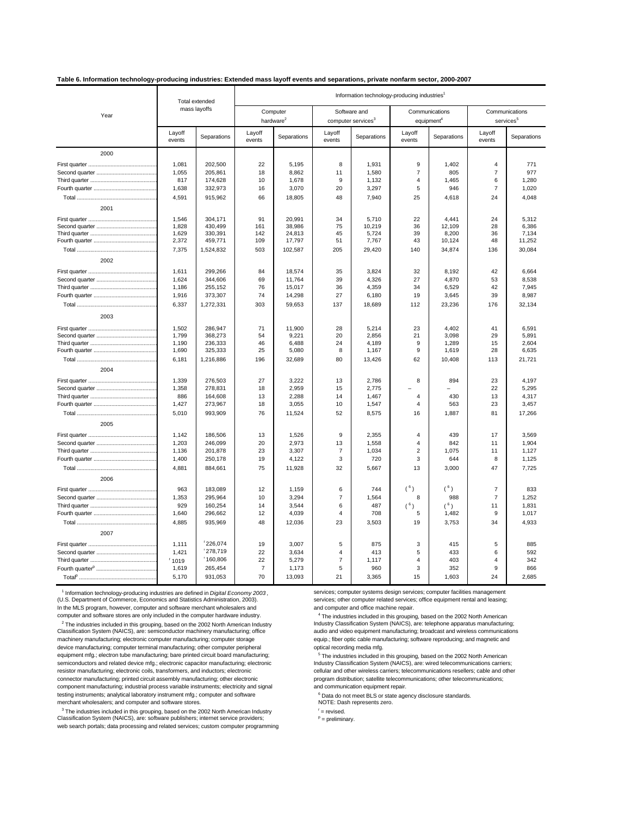#### **Table 6. Information technology-producing industries: Extended mass layoff events and separations, private nonfarm sector, 2000-2007**

| mass layoffs<br>Computer<br>Software and<br>Communications<br>Year<br>hardware <sup>2</sup><br>computer services <sup>3</sup><br>equipment <sup>4</sup><br>Layoff<br>Layoff<br>Layoff<br>Layoff<br>Layoff<br>Separations<br>Separations<br>Separations<br>Separations<br>events<br>events<br>events<br>events<br>events<br>2000<br>1,081<br>202,500<br>22<br>5,195<br>1,931<br>9<br>1,402<br>$\overline{4}$<br>8<br>1,055<br>8,862<br>1,580<br>$\overline{7}$<br>805<br>205,861<br>18<br>11<br>$\overline{7}$<br>817<br>174,628<br>10<br>1,678<br>9<br>1,132<br>4<br>1,465<br>6<br>1,638<br>332,973<br>5<br>$\overline{7}$<br>16<br>3,070<br>20<br>3,297<br>946<br>4,591<br>48<br>915,962<br>66<br>18,805<br>7,940<br>25<br>4,618<br>24<br>2001<br>304,171<br>91<br>22<br>1,546<br>20.991<br>34<br>5.710<br>4,441<br>24<br>1,828<br>430,499<br>161<br>38,986<br>75<br>10,219<br>12,109<br>28<br>36<br>1,629<br>330,391<br>142<br>24,813<br>45<br>5,724<br>39<br>8,200<br>36<br>2,372<br>43<br>459,771<br>109<br>17,797<br>51<br>7,767<br>10,124<br>48<br>7,375<br>503<br>205<br>1,524,832<br>102,587<br>29,420<br>140<br>34,874<br>136 |                                         |  |
|----------------------------------------------------------------------------------------------------------------------------------------------------------------------------------------------------------------------------------------------------------------------------------------------------------------------------------------------------------------------------------------------------------------------------------------------------------------------------------------------------------------------------------------------------------------------------------------------------------------------------------------------------------------------------------------------------------------------------------------------------------------------------------------------------------------------------------------------------------------------------------------------------------------------------------------------------------------------------------------------------------------------------------------------------------------------------------------------------------------------------------------|-----------------------------------------|--|
|                                                                                                                                                                                                                                                                                                                                                                                                                                                                                                                                                                                                                                                                                                                                                                                                                                                                                                                                                                                                                                                                                                                                        | Communications<br>services <sup>5</sup> |  |
|                                                                                                                                                                                                                                                                                                                                                                                                                                                                                                                                                                                                                                                                                                                                                                                                                                                                                                                                                                                                                                                                                                                                        | Separations                             |  |
|                                                                                                                                                                                                                                                                                                                                                                                                                                                                                                                                                                                                                                                                                                                                                                                                                                                                                                                                                                                                                                                                                                                                        |                                         |  |
|                                                                                                                                                                                                                                                                                                                                                                                                                                                                                                                                                                                                                                                                                                                                                                                                                                                                                                                                                                                                                                                                                                                                        | 771                                     |  |
|                                                                                                                                                                                                                                                                                                                                                                                                                                                                                                                                                                                                                                                                                                                                                                                                                                                                                                                                                                                                                                                                                                                                        | 977                                     |  |
|                                                                                                                                                                                                                                                                                                                                                                                                                                                                                                                                                                                                                                                                                                                                                                                                                                                                                                                                                                                                                                                                                                                                        | 1,280                                   |  |
|                                                                                                                                                                                                                                                                                                                                                                                                                                                                                                                                                                                                                                                                                                                                                                                                                                                                                                                                                                                                                                                                                                                                        | 1,020                                   |  |
|                                                                                                                                                                                                                                                                                                                                                                                                                                                                                                                                                                                                                                                                                                                                                                                                                                                                                                                                                                                                                                                                                                                                        | 4,048                                   |  |
|                                                                                                                                                                                                                                                                                                                                                                                                                                                                                                                                                                                                                                                                                                                                                                                                                                                                                                                                                                                                                                                                                                                                        |                                         |  |
|                                                                                                                                                                                                                                                                                                                                                                                                                                                                                                                                                                                                                                                                                                                                                                                                                                                                                                                                                                                                                                                                                                                                        | 5.312                                   |  |
|                                                                                                                                                                                                                                                                                                                                                                                                                                                                                                                                                                                                                                                                                                                                                                                                                                                                                                                                                                                                                                                                                                                                        | 6,386                                   |  |
|                                                                                                                                                                                                                                                                                                                                                                                                                                                                                                                                                                                                                                                                                                                                                                                                                                                                                                                                                                                                                                                                                                                                        | 7,134                                   |  |
|                                                                                                                                                                                                                                                                                                                                                                                                                                                                                                                                                                                                                                                                                                                                                                                                                                                                                                                                                                                                                                                                                                                                        | 11,252                                  |  |
|                                                                                                                                                                                                                                                                                                                                                                                                                                                                                                                                                                                                                                                                                                                                                                                                                                                                                                                                                                                                                                                                                                                                        | 30,084                                  |  |
| 2002                                                                                                                                                                                                                                                                                                                                                                                                                                                                                                                                                                                                                                                                                                                                                                                                                                                                                                                                                                                                                                                                                                                                   |                                         |  |
| 1,611<br>299,266<br>35<br>3,824<br>32<br>42<br>84<br>18,574<br>8,192                                                                                                                                                                                                                                                                                                                                                                                                                                                                                                                                                                                                                                                                                                                                                                                                                                                                                                                                                                                                                                                                   | 6,664                                   |  |
| 1,624<br>69<br>39<br>4,326<br>27<br>344,606<br>11,764<br>4,870<br>53                                                                                                                                                                                                                                                                                                                                                                                                                                                                                                                                                                                                                                                                                                                                                                                                                                                                                                                                                                                                                                                                   | 8,538                                   |  |
| 1,186<br>255,152<br>76<br>15,017<br>36<br>4,359<br>34<br>6,529<br>42                                                                                                                                                                                                                                                                                                                                                                                                                                                                                                                                                                                                                                                                                                                                                                                                                                                                                                                                                                                                                                                                   | 7,945                                   |  |
| 1,916<br>373,307<br>74<br>14,298<br>27<br>6,180<br>19<br>3,645<br>39                                                                                                                                                                                                                                                                                                                                                                                                                                                                                                                                                                                                                                                                                                                                                                                                                                                                                                                                                                                                                                                                   | 8,987                                   |  |
| 6,337<br>1,272,331<br>303<br>59,653<br>137<br>18,689<br>112<br>23,236<br>176                                                                                                                                                                                                                                                                                                                                                                                                                                                                                                                                                                                                                                                                                                                                                                                                                                                                                                                                                                                                                                                           | 32,134                                  |  |
| 2003                                                                                                                                                                                                                                                                                                                                                                                                                                                                                                                                                                                                                                                                                                                                                                                                                                                                                                                                                                                                                                                                                                                                   |                                         |  |
| 1,502<br>286,947<br>71<br>28<br>23<br>11,900<br>5,214<br>4,402<br>41                                                                                                                                                                                                                                                                                                                                                                                                                                                                                                                                                                                                                                                                                                                                                                                                                                                                                                                                                                                                                                                                   | 6,591                                   |  |
| 9,221<br>1,799<br>368,273<br>54<br>20<br>2.856<br>21<br>3,098<br>29                                                                                                                                                                                                                                                                                                                                                                                                                                                                                                                                                                                                                                                                                                                                                                                                                                                                                                                                                                                                                                                                    | 5,891                                   |  |
| 1,190<br>236,333<br>46<br>6,488<br>24<br>4,189<br>9<br>1,289<br>15                                                                                                                                                                                                                                                                                                                                                                                                                                                                                                                                                                                                                                                                                                                                                                                                                                                                                                                                                                                                                                                                     | 2,604                                   |  |
| 1,690<br>25<br>5,080<br>8<br>9<br>28<br>325,333<br>1,167<br>1,619                                                                                                                                                                                                                                                                                                                                                                                                                                                                                                                                                                                                                                                                                                                                                                                                                                                                                                                                                                                                                                                                      | 6,635                                   |  |
| 6,181<br>1,216,886<br>196<br>32,689<br>80<br>13,426<br>62<br>10,408<br>113                                                                                                                                                                                                                                                                                                                                                                                                                                                                                                                                                                                                                                                                                                                                                                                                                                                                                                                                                                                                                                                             | 21,721                                  |  |
| 2004                                                                                                                                                                                                                                                                                                                                                                                                                                                                                                                                                                                                                                                                                                                                                                                                                                                                                                                                                                                                                                                                                                                                   |                                         |  |
| 1,339<br>27<br>276,503<br>3,222<br>13<br>2,786<br>8<br>894<br>23                                                                                                                                                                                                                                                                                                                                                                                                                                                                                                                                                                                                                                                                                                                                                                                                                                                                                                                                                                                                                                                                       | 4,197                                   |  |
| 1,358<br>2,959<br>22<br>278,831<br>18<br>15<br>2,775                                                                                                                                                                                                                                                                                                                                                                                                                                                                                                                                                                                                                                                                                                                                                                                                                                                                                                                                                                                                                                                                                   | 5,295                                   |  |
| 886<br>164,608<br>13<br>2,288<br>14<br>1,467<br>$\overline{4}$<br>430<br>13                                                                                                                                                                                                                                                                                                                                                                                                                                                                                                                                                                                                                                                                                                                                                                                                                                                                                                                                                                                                                                                            | 4,317                                   |  |
| 1,427<br>273,967<br>18<br>3,055<br>10<br>563<br>23<br>1,547<br>$\overline{4}$                                                                                                                                                                                                                                                                                                                                                                                                                                                                                                                                                                                                                                                                                                                                                                                                                                                                                                                                                                                                                                                          | 3,457                                   |  |
| 5,010<br>993,909<br>76<br>52<br>1,887<br>81<br>11,524<br>8,575<br>16                                                                                                                                                                                                                                                                                                                                                                                                                                                                                                                                                                                                                                                                                                                                                                                                                                                                                                                                                                                                                                                                   | 17,266                                  |  |
| 2005                                                                                                                                                                                                                                                                                                                                                                                                                                                                                                                                                                                                                                                                                                                                                                                                                                                                                                                                                                                                                                                                                                                                   |                                         |  |
| 9<br>439<br>17<br>1,142<br>186,506<br>13<br>1,526<br>2,355<br>4                                                                                                                                                                                                                                                                                                                                                                                                                                                                                                                                                                                                                                                                                                                                                                                                                                                                                                                                                                                                                                                                        | 3,569                                   |  |
| 20<br>1,203<br>246,099<br>2,973<br>13<br>1,558<br>$\overline{4}$<br>842<br>11                                                                                                                                                                                                                                                                                                                                                                                                                                                                                                                                                                                                                                                                                                                                                                                                                                                                                                                                                                                                                                                          | 1,904                                   |  |
| 1,136<br>201,878<br>23<br>3,307<br>$\overline{7}$<br>1,034<br>2<br>1,075<br>11                                                                                                                                                                                                                                                                                                                                                                                                                                                                                                                                                                                                                                                                                                                                                                                                                                                                                                                                                                                                                                                         | 1,127                                   |  |
| 1,400<br>250,178<br>19<br>4,122<br>3<br>720<br>3<br>644<br>8                                                                                                                                                                                                                                                                                                                                                                                                                                                                                                                                                                                                                                                                                                                                                                                                                                                                                                                                                                                                                                                                           | 1,125                                   |  |
| 4,881<br>32<br>47<br>884,661<br>75<br>11,928<br>5,667<br>13<br>3,000                                                                                                                                                                                                                                                                                                                                                                                                                                                                                                                                                                                                                                                                                                                                                                                                                                                                                                                                                                                                                                                                   | 7,725                                   |  |
| 2006                                                                                                                                                                                                                                                                                                                                                                                                                                                                                                                                                                                                                                                                                                                                                                                                                                                                                                                                                                                                                                                                                                                                   |                                         |  |
| $(^{6})$<br>(6)<br>$\overline{7}$<br>963<br>183,089<br>12<br>1,159<br>6<br>744                                                                                                                                                                                                                                                                                                                                                                                                                                                                                                                                                                                                                                                                                                                                                                                                                                                                                                                                                                                                                                                         | 833                                     |  |
| 1,353<br>295,964<br>10<br>3,294<br>$\overline{7}$<br>1,564<br>8<br>988<br>$\overline{7}$                                                                                                                                                                                                                                                                                                                                                                                                                                                                                                                                                                                                                                                                                                                                                                                                                                                                                                                                                                                                                                               | 1,252                                   |  |
| 929<br>6<br>487<br>160,254<br>14<br>3,544<br>$(^{6})$<br>$(^{6})$<br>11                                                                                                                                                                                                                                                                                                                                                                                                                                                                                                                                                                                                                                                                                                                                                                                                                                                                                                                                                                                                                                                                | 1,831                                   |  |
| 708<br>1,482<br>1,640<br>296,662<br>12<br>4,039<br>$\overline{4}$<br>5<br>9                                                                                                                                                                                                                                                                                                                                                                                                                                                                                                                                                                                                                                                                                                                                                                                                                                                                                                                                                                                                                                                            | 1,017                                   |  |
| 4,885<br>935,969<br>48<br>12,036<br>23<br>3,503<br>3,753<br>19<br>34                                                                                                                                                                                                                                                                                                                                                                                                                                                                                                                                                                                                                                                                                                                                                                                                                                                                                                                                                                                                                                                                   | 4,933                                   |  |
| 2007                                                                                                                                                                                                                                                                                                                                                                                                                                                                                                                                                                                                                                                                                                                                                                                                                                                                                                                                                                                                                                                                                                                                   |                                         |  |
| 226,074<br>1,111<br>19<br>3,007<br>5<br>875<br>3<br>415<br>5                                                                                                                                                                                                                                                                                                                                                                                                                                                                                                                                                                                                                                                                                                                                                                                                                                                                                                                                                                                                                                                                           | 885                                     |  |
| 1278,719<br>1,421<br>22<br>3,634<br>5<br>433<br>$\overline{4}$<br>413<br>6                                                                                                                                                                                                                                                                                                                                                                                                                                                                                                                                                                                                                                                                                                                                                                                                                                                                                                                                                                                                                                                             | 592                                     |  |
| 160,806<br>22<br>$\overline{7}$<br>$\overline{4}$<br>403<br>1019<br>5,279<br>1,117<br>$\overline{4}$                                                                                                                                                                                                                                                                                                                                                                                                                                                                                                                                                                                                                                                                                                                                                                                                                                                                                                                                                                                                                                   | 342                                     |  |
| $\overline{7}$<br>960<br>3<br>9<br>1,619<br>265,454<br>1,173<br>5<br>352                                                                                                                                                                                                                                                                                                                                                                                                                                                                                                                                                                                                                                                                                                                                                                                                                                                                                                                                                                                                                                                               | 866                                     |  |
| 5,170<br>931,053<br>70<br>21<br>24<br>13,093<br>3,365<br>15<br>1,603                                                                                                                                                                                                                                                                                                                                                                                                                                                                                                                                                                                                                                                                                                                                                                                                                                                                                                                                                                                                                                                                   | 2,685                                   |  |

thformation technology-producing industries are defined in Digital Economy 2003, services; computer systems design services; computer facilities management (U.S. Department of Commerce, Economics and Statistics Administrat In the MLS program, however, computer and software merchant wholesalers and and computer and office machine repair. computer and software stores are only included in the computer hardware industry.

Classification System (NAICS), are: semiconductor machinery manufacturing; office <sup>2</sup> The industries included in this grouping, based on the 2002 North American Industry **Industry Classification System (NAICS)**, are: telephone apparatus manufacturing; machinery manufacturing; electronic computer manufacturing; computer storage equip.; fiber optic cable manufacturing; computer terminal manufacturing; other computer peripheral expression optical recording media mfg. device manufacturing; computer terminal manufacturing; other computer peripheral equipment mfg.; electron tube manufacturing; bare printed circuit board manufacturing; semiconductors and related device mfg.; electronic capacitor manufacturing; electronic resistor manufacturing; electronic coils, transformers, and inductors; electronic connector manufacturing; printed circuit assembly manufacturing; other electronic component manufacturing; industrial process variable instruments; electricity and signal and communication equipment repair. testing instruments; analytical laboratory instrument mfg.; computer and software merchant wholesalers; and computer and software stores. NOTE: Dash represents zero.

 $^\circ$  The industries included in this grouping, based on the 2002 North American Industry<br>Classification System (NAICS), are: software publishers; internet service providers; <sup>3</sup> The industries included in this grouping, based on the 2002 North American Industry web search portals; data processing and related services; custom computer programming

<sup>1</sup> Information technology-producing industries are defined in Digital Economy 2003, services; computer systems design services; computer facilities management

<sup>4</sup> The industries included in this grouping, based on the 2002 North American audio and video equipment manufacturing; broadcast and wireless communications equip.; fiber optic cable manufacturing; software reproducing; and magnetic and

<sup>5</sup> The industries included in this grouping, based on the 2002 North American cellular and other wireless carriers; telecommunications resellers; cable and other program distribution; satellite telecommunications; other telecommunications;

<sup>6</sup> Data do not meet BLS or state agency disclosure standards.

 $r =$  revised.

 $P =$  preliminary.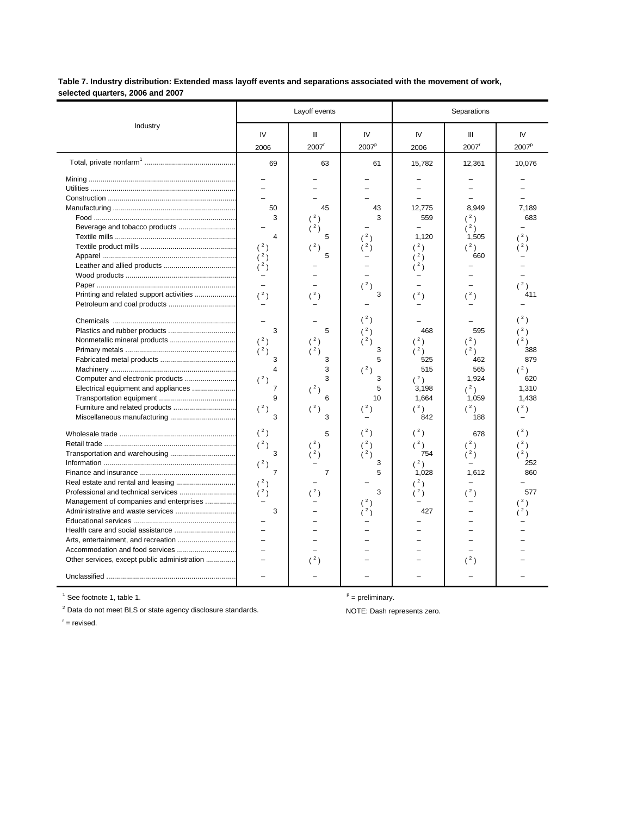#### Table 7. Industry distribution: Extended mass layoff events and separations associated with the movement of work, selected quarters, 2006 and 2007

|                                                                                                                                                                                                |                                                                                                                             | Layoff events                                                                                                        |                                                                                                                  | Separations                                                                                                                         |                                                                                                                                                        |                                                                                                                                |  |
|------------------------------------------------------------------------------------------------------------------------------------------------------------------------------------------------|-----------------------------------------------------------------------------------------------------------------------------|----------------------------------------------------------------------------------------------------------------------|------------------------------------------------------------------------------------------------------------------|-------------------------------------------------------------------------------------------------------------------------------------|--------------------------------------------------------------------------------------------------------------------------------------------------------|--------------------------------------------------------------------------------------------------------------------------------|--|
| Industry                                                                                                                                                                                       | IV<br>2006                                                                                                                  | Ш<br>2007 <sup>r</sup>                                                                                               | IV<br>2007 <sup>p</sup>                                                                                          | IV<br>2006                                                                                                                          | Ш<br>2007                                                                                                                                              | IV<br>2007 <sup>p</sup>                                                                                                        |  |
|                                                                                                                                                                                                | 69                                                                                                                          | 63                                                                                                                   | 61                                                                                                               | 15,782                                                                                                                              | 12,361                                                                                                                                                 | 10,076                                                                                                                         |  |
| Printing and related support activities<br>Computer and electronic products<br>Electrical equipment and appliances<br>Furniture and related products                                           | 50<br>3<br>$\overline{4}$<br>(2)<br>(2)<br>(2)<br>(2)<br>$\equiv$<br>3<br>$(^{2})$<br>(2)<br>3<br>4<br>(2)<br>7<br>9<br>(2) | 45<br>(2)<br>$(^{2})$<br>5<br>(2)<br>5<br>(2)<br>5<br>$(^{2})$<br>$(^{2})$<br>3<br>3<br>3<br>$(^2)$<br>6<br>$(^{2})$ | 43<br>3<br>$^2$ )<br>$(^{2})$<br>3<br>(2)<br>(2)<br>$(^{2})$<br>3<br>5<br>$(^{2})$<br>3<br>5<br>10<br>$({}^{2})$ | 12,775<br>559<br>1,120<br>(2)<br>(2)<br>(2)<br>(2)<br>468<br>$(^{2})$<br>$(^2)$<br>525<br>515<br>$(^2)$<br>3,198<br>1,664<br>$(^2)$ | 8.949<br>$(^2)$<br>$(^2)$<br>1,505<br>$(^{2})$<br>660<br>$(^{2})$<br>595<br>$(^{2})$<br>$(^2)$<br>462<br>565<br>1,924<br>$(^{2})$<br>1,059<br>$(^{2})$ | 7.189<br>683<br>2)<br>$^{2}$ )<br>(2)<br>411<br>(2)<br>(2)<br>(2)<br>388<br>879<br>$(^{2})$<br>620<br>1,310<br>1,438<br>$(^2)$ |  |
| Miscellaneous manufacturing<br>Management of companies and enterprises<br>Administrative and waste services<br>Accommodation and food services<br>Other services, except public administration | 3<br>$(^2)$<br>(2)<br>3<br>$(^2)$<br>$\overline{7}$<br>(2)<br>(2)<br>3<br>L.                                                | 3<br>5<br>$(^2)$<br>(2)<br>$\overline{7}$<br>(2)<br>(2)                                                              | $(^2)$<br>$(^{2})$<br>$(^2)$<br>3<br>5<br>3<br>(2)<br>2)                                                         | 842<br>$(^{2})$<br>(2)<br>754<br>$(^2)$<br>1,028<br>(2)<br>(2)<br>427                                                               | 188<br>678<br>$(^{2})$<br>$(^2)$<br>1,612<br>(2)<br>(2)                                                                                                | $(^{2})$<br>(2)<br>$(^2)$<br>252<br>860<br>577<br>2)<br>2)                                                                     |  |

 $<sup>1</sup>$  See footnote 1, table 1.</sup>

 $P =$  preliminary.

 $2$  Data do not meet BLS or state agency disclosure standards.

NOTE: Dash represents zero.

 $t =$  revised.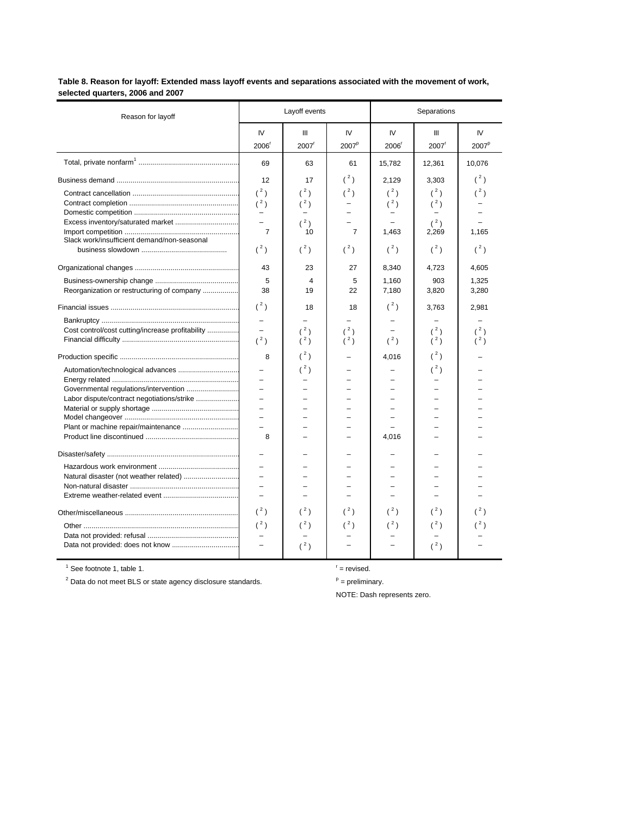Table 8. Reason for layoff: Extended mass layoff events and separations associated with the movement of work, selected quarters, 2006 and 2007

| Reason for layoff                                |                          | Layoff events       |                            | Separations       |                     |                   |  |
|--------------------------------------------------|--------------------------|---------------------|----------------------------|-------------------|---------------------|-------------------|--|
|                                                  | IV                       | Ш                   | IV                         | IV                | Ш                   | IV                |  |
|                                                  | 2006 <sup>r</sup>        | $2007$ <sup>r</sup> | 2007 <sup>p</sup>          | 2006 <sup>r</sup> | $2007$ <sup>r</sup> | 2007 <sup>p</sup> |  |
|                                                  | 69                       | 63                  | 61                         | 15,782            | 12,361              | 10,076            |  |
|                                                  | 12                       | 17                  | $(^{2})$                   | 2.129             | 3,303               | $(^2)$            |  |
|                                                  | $(^2)$<br>$(^2)$         | $(^2)$<br>$(^2)$    | $({}^{2})$                 | $(^2)$<br>$(^2)$  | (2)<br>$(^2)$       | $({}^{2})$        |  |
| Excess inventory/saturated market                | Ξ.<br>÷                  | $(^2)$              | ÷                          |                   | $(^2)$              |                   |  |
| Slack work/insufficient demand/non-seasonal      | $\overline{7}$<br>$(^2)$ | 10<br>$(^{2})$      | $\overline{7}$<br>$(^{2})$ | 1,463<br>$(^{2})$ | 2,269<br>$(^2)$     | 1,165<br>$(^2)$   |  |
|                                                  |                          |                     |                            |                   |                     |                   |  |
|                                                  | 43                       | 23                  | 27                         | 8,340             | 4,723               | 4,605             |  |
| Reorganization or restructuring of company       | 5<br>38                  | 4<br>19             | 5<br>22                    | 1,160<br>7,180    | 903<br>3,820        | 1,325<br>3,280    |  |
|                                                  | $(^2)$                   | 18                  | 18                         | $(^2)$            | 3,763               | 2,981             |  |
|                                                  |                          |                     |                            |                   |                     |                   |  |
| Cost control/cost cutting/increase profitability | L.                       | (2)                 | (2)                        |                   | (2)                 | (2)               |  |
|                                                  | (2)                      | $(^2)$              | $(^{2})$                   | (2)               | $(^2)$              | (2)               |  |
|                                                  | 8                        | $(^{2})$            |                            | 4,016             | $(^{2})$            |                   |  |
| Automation/technological advances                |                          | $(^{2})$            |                            |                   | $({}^{2})$          |                   |  |
|                                                  |                          |                     |                            |                   |                     |                   |  |
| Governmental regulations/intervention            | L.<br>L.                 |                     | L.<br>L                    |                   |                     |                   |  |
|                                                  | ÷                        |                     |                            |                   |                     |                   |  |
|                                                  | $\equiv$                 |                     | L.                         |                   |                     |                   |  |
| Plant or machine repair/maintenance              | L.                       |                     |                            |                   |                     |                   |  |
|                                                  | 8                        |                     | L.                         | 4,016             |                     |                   |  |
|                                                  | $\overline{\phantom{0}}$ |                     |                            |                   |                     |                   |  |
|                                                  |                          |                     |                            |                   |                     |                   |  |
| Natural disaster (not weather related)           | L.                       |                     | L.                         |                   |                     |                   |  |
|                                                  |                          |                     |                            |                   |                     |                   |  |
|                                                  |                          |                     |                            |                   |                     |                   |  |
|                                                  | $(^2)$                   | $(^2)$              | $(^2)$                     | $(^2)$            | (2)                 | (2)               |  |
|                                                  | $(^2)$                   | $(^2)$              | $(^{2})$                   | $(^{2})$          | $(^{2})$            |                   |  |
|                                                  |                          |                     |                            |                   |                     |                   |  |
|                                                  | $\equiv$                 | $(^2)$              |                            |                   | $(^2)$              |                   |  |
|                                                  |                          |                     |                            |                   |                     |                   |  |

 $1$  See footnote 1, table 1.

 $t =$  revised.

 $P =$  preliminary.

 $2$  Data do not meet BLS or state agency disclosure standards.

NOTE: Dash represents zero.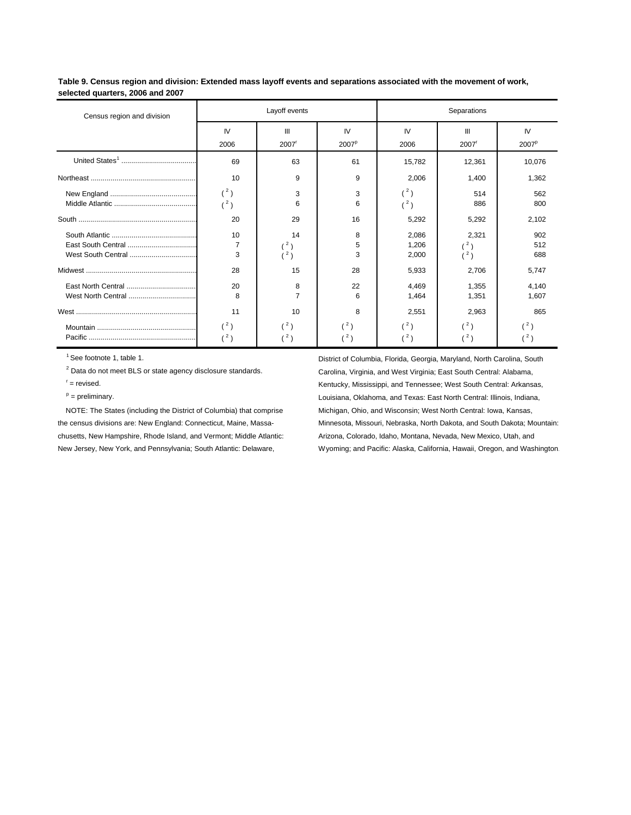**Table 9. Census region and division: Extended mass layoff events and separations associated with the movement of work, selected quarters, 2006 and 2007**

| Census region and division |                           | Layoff events                    |                                              | Separations             |                        |                         |  |  |
|----------------------------|---------------------------|----------------------------------|----------------------------------------------|-------------------------|------------------------|-------------------------|--|--|
|                            | IV<br>2006                | Ш<br>2007 <sup>r</sup>           | IV<br>2007 <sup>p</sup>                      | IV<br>2006              | Ш<br>2007 <sup>r</sup> | IV<br>2007 <sup>p</sup> |  |  |
|                            | 69                        | 63                               | 61                                           | 15,782                  | 12,361                 | 10,076                  |  |  |
|                            | 10                        | 9                                | 9                                            | 2,006                   | 1,400                  | 1,362                   |  |  |
|                            | $(^2)$<br>$(^2)$          | 3<br>6                           | 3<br>6                                       | $(^2)$<br>(2)           | 514<br>886             | 562<br>800              |  |  |
|                            | 20                        | 29                               | 16                                           | 5,292                   | 5,292                  | 2,102                   |  |  |
| West South Central         | 10<br>$\overline{7}$<br>3 | 14<br>(2)<br>(2)                 | 8<br>5<br>3                                  | 2,086<br>1,206<br>2,000 | 2,321<br>(2)<br>(3)    | 902<br>512<br>688       |  |  |
|                            | 28                        | 15                               | 28                                           | 5,933                   | 2,706                  | 5,747                   |  |  |
|                            | 20<br>8                   | 8<br>7                           | 22<br>6                                      | 4,469<br>1,464          | 1,355<br>1,351         | 4,140<br>1,607          |  |  |
|                            | 11                        | 10                               | 8                                            | 2,551                   | 2,963                  | 865                     |  |  |
|                            | (2)<br>(2)                | $^{\prime 2}$ )<br>$\frac{2}{ }$ | $^{\prime 2}$ )<br>$^{\prime}$ 2 $^{\prime}$ | (2)<br>(2)              | (3)<br>(2)             | (2)<br>(2)              |  |  |

chusetts, New Hampshire, Rhode Island, and Vermont; Middle Atlantic: Arizona, Colorado, Idaho, Montana, Nevada, New Mexico, Utah, and

1See footnote 1, table 1. **District of Columbia, Florida, Georgia, Maryland, North Carolina, South Carolina, South** <sup>2</sup> Data do not meet BLS or state agency disclosure standards. Carolina, Virginia, and West Virginia; East South Central: Alabama,  $r =$  revised. Kentucky, Mississippi, and Tennessee; West South Central: Arkansas, p = preliminary. The preliminary contral: Illinois, Indiana, Chahoma, Alahoma, Alahoma, and Texas: East North Central: Illinois, Indiana, NOTE: The States (including the District of Columbia) that comprise Michigan, Ohio, and Wisconsin; West North Central: Iowa, Kansas, the census divisions are: New England: Connecticut, Maine, Massa- Minnesota, Missouri, Nebraska, North Dakota, and South Dakota; Mountain: New Jersey, New York, and Pennsylvania; South Atlantic: Delaware, Wyoming; and Pacific: Alaska, California, Hawaii, Oregon, and Washington.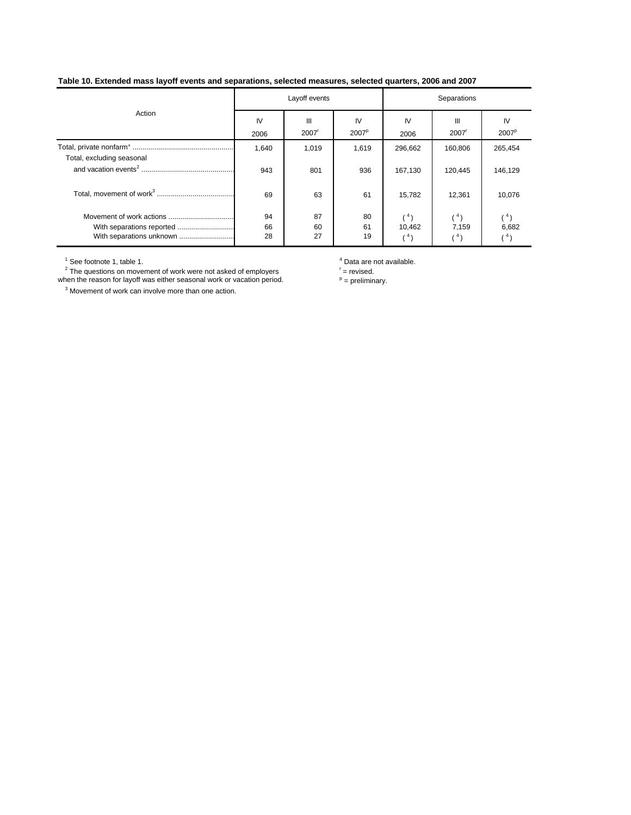#### **Table 10. Extended mass layoff events and separations, selected measures, selected quarters, 2006 and 2007**

|                                                       |                | Layoff events            |                         | Separations          |                          |                         |  |
|-------------------------------------------------------|----------------|--------------------------|-------------------------|----------------------|--------------------------|-------------------------|--|
| Action                                                | IV<br>2006     | Ш<br>$2007$ <sup>r</sup> | IV<br>2007 <sup>p</sup> | IV<br>2006           | Ш<br>2007                | IV<br>2007 <sup>p</sup> |  |
| Total, excluding seasonal                             | 1,640          | 1,019                    | 1,619                   | 296,662              | 160.806                  | 265,454                 |  |
|                                                       | 943            | 801                      | 936                     | 167.130              | 120.445                  | 146,129                 |  |
|                                                       | 69             | 63                       | 61                      | 15.782               | 12,361                   | 10,076                  |  |
| With separations reported<br>With separations unknown | 94<br>66<br>28 | 87<br>60<br>27           | 80<br>61<br>19          | (4)<br>10,462<br>(4) | $(^{4})$<br>7,159<br>(4) | (4)<br>6,682<br>(4)     |  |

 $2^2$  The questions on movement of work were not asked of employers  $1^2$  = revised. when the reason for layoff was either seasonal work or vacation period.  $P =$  preliminary.

<sup>3</sup> Movement of work can involve more than one action.

 $\frac{1}{4}$  See footnote 1, table 1.4 Data are not available.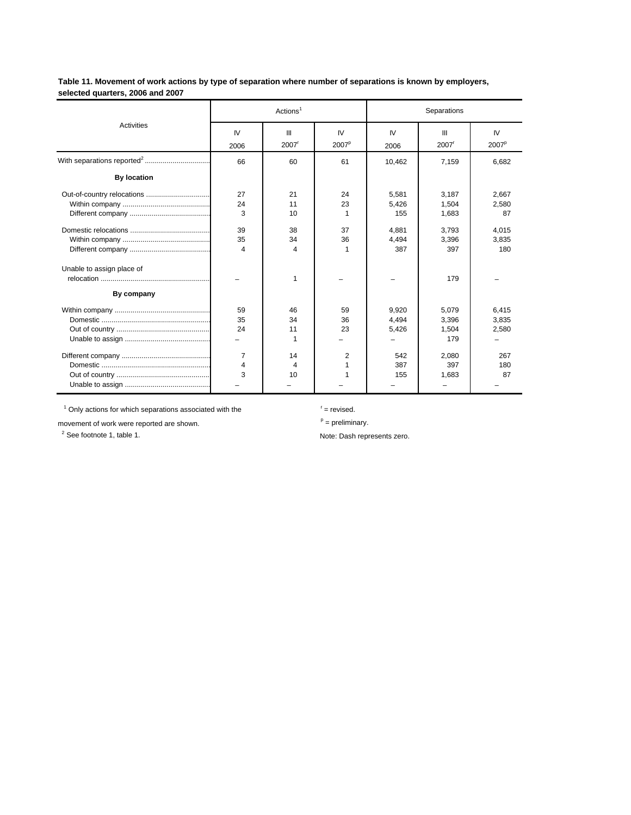**Table 11. Movement of work actions by type of separation where number of separations is known by employers, selected quarters, 2006 and 2007**

|                                         |                | Actions <sup>1</sup> |                         | Separations             |                                |                         |  |
|-----------------------------------------|----------------|----------------------|-------------------------|-------------------------|--------------------------------|-------------------------|--|
| <b>Activities</b>                       | IV<br>2006     | Ш<br>2007            | IV<br>2007 <sup>p</sup> | IV<br>2006              | Ш<br>2007 <sup>r</sup>         | IV<br>2007 <sup>p</sup> |  |
|                                         | 66             | 60                   | 61                      | 10,462                  | 7,159                          | 6,682                   |  |
| <b>By location</b>                      |                |                      |                         |                         |                                |                         |  |
| Out-of-country relocations              | 27<br>24<br>3  | 21<br>11<br>10       | 24<br>23<br>1           | 5.581<br>5.426<br>155   | 3.187<br>1.504<br>1,683        | 2,667<br>2.580<br>87    |  |
|                                         | 39<br>35<br>4  | 38<br>34<br>4        | 37<br>36<br>1           | 4.881<br>4.494<br>387   | 3.793<br>3,396<br>397          | 4,015<br>3,835<br>180   |  |
| Unable to assign place of<br>By company |                | 1                    |                         |                         | 179                            |                         |  |
|                                         | 59<br>35<br>24 | 46<br>34<br>11<br>1  | 59<br>36<br>23          | 9,920<br>4.494<br>5,426 | 5,079<br>3.396<br>1,504<br>179 | 6,415<br>3,835<br>2,580 |  |
|                                         | 7<br>4<br>3    | 14<br>4<br>10        | 2<br>1                  | 542<br>387<br>155       | 2,080<br>397<br>1.683          | 267<br>180<br>87        |  |

1 Only actions for which separations associated with the <sup>r</sup> = revised.

movement of work were reported are shown.  $p = p$ reliminary.

2

Note: Dash represents zero.